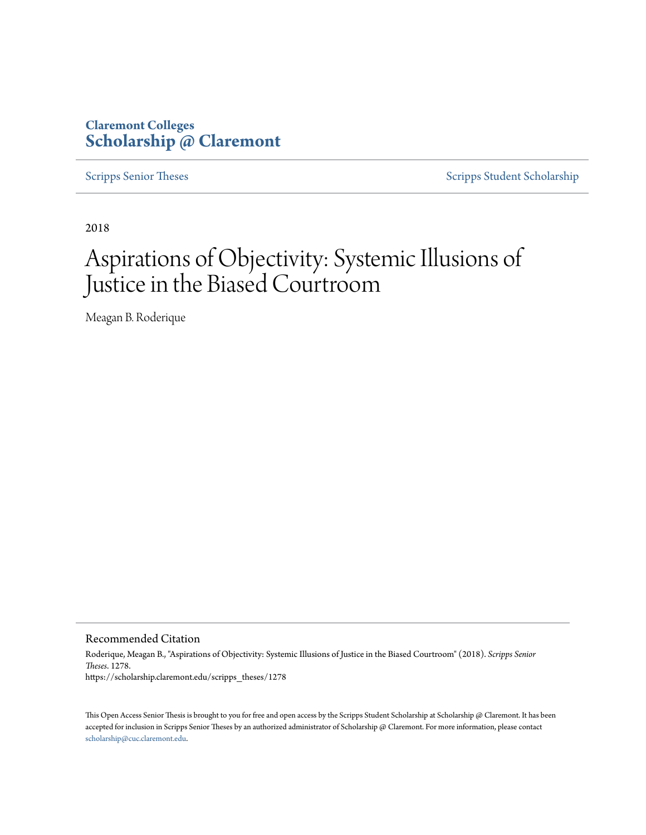## **Claremont Colleges [Scholarship @ Claremont](https://scholarship.claremont.edu)**

[Scripps Senior Theses](https://scholarship.claremont.edu/scripps_theses) [Scripps Student Scholarship](https://scholarship.claremont.edu/scripps_student)

2018

# Aspirations of Objectivity: Systemic Illusions of Justice in the Biased Courtroom

Meagan B. Roderique

Recommended Citation

Roderique, Meagan B., "Aspirations of Objectivity: Systemic Illusions of Justice in the Biased Courtroom" (2018). *Scripps Senior Theses*. 1278. https://scholarship.claremont.edu/scripps\_theses/1278

This Open Access Senior Thesis is brought to you for free and open access by the Scripps Student Scholarship at Scholarship @ Claremont. It has been accepted for inclusion in Scripps Senior Theses by an authorized administrator of Scholarship @ Claremont. For more information, please contact [scholarship@cuc.claremont.edu.](mailto:scholarship@cuc.claremont.edu)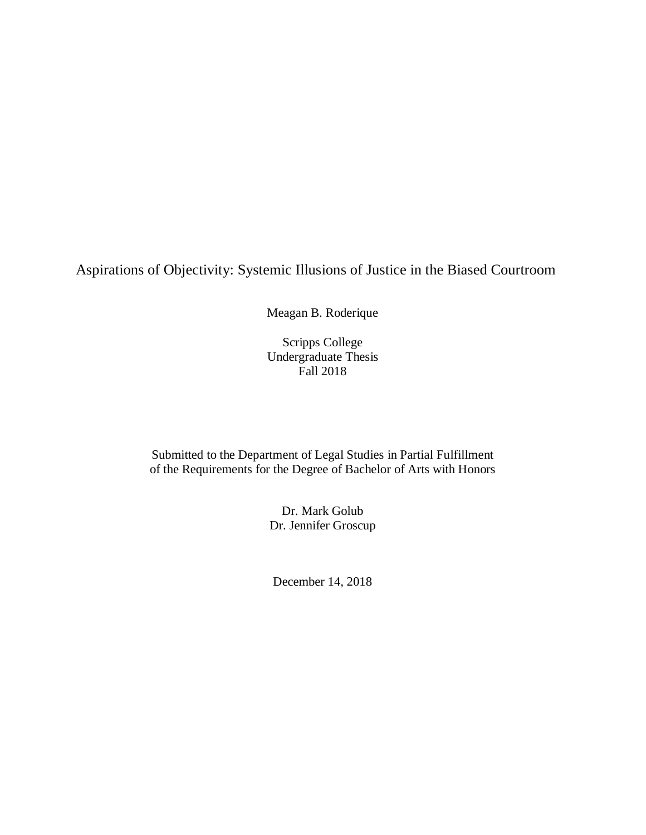# Aspirations of Objectivity: Systemic Illusions of Justice in the Biased Courtroom

Meagan B. Roderique

Scripps College Undergraduate Thesis Fall 2018

Submitted to the Department of Legal Studies in Partial Fulfillment of the Requirements for the Degree of Bachelor of Arts with Honors

> Dr. Mark Golub Dr. Jennifer Groscup

December 14, 2018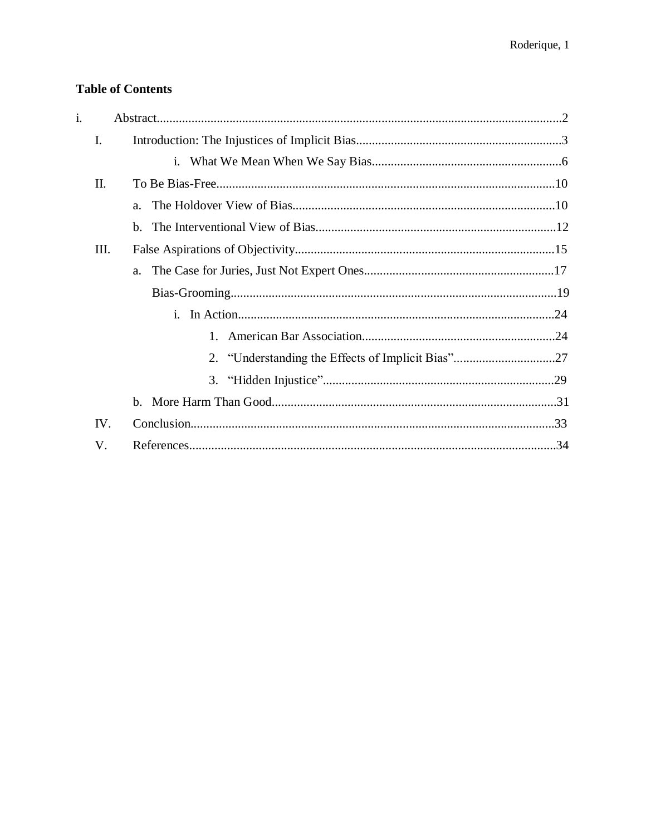## **Table of Contents**

| $\mathbf{i}$ . |      |                                                   |  |
|----------------|------|---------------------------------------------------|--|
|                | I.   |                                                   |  |
|                |      |                                                   |  |
|                | II.  |                                                   |  |
|                |      |                                                   |  |
|                |      |                                                   |  |
|                | III. |                                                   |  |
|                |      |                                                   |  |
|                |      |                                                   |  |
|                |      |                                                   |  |
|                |      |                                                   |  |
|                |      | 2. "Understanding the Effects of Implicit Bias"27 |  |
|                |      |                                                   |  |
|                |      |                                                   |  |
|                | IV.  |                                                   |  |
|                |      |                                                   |  |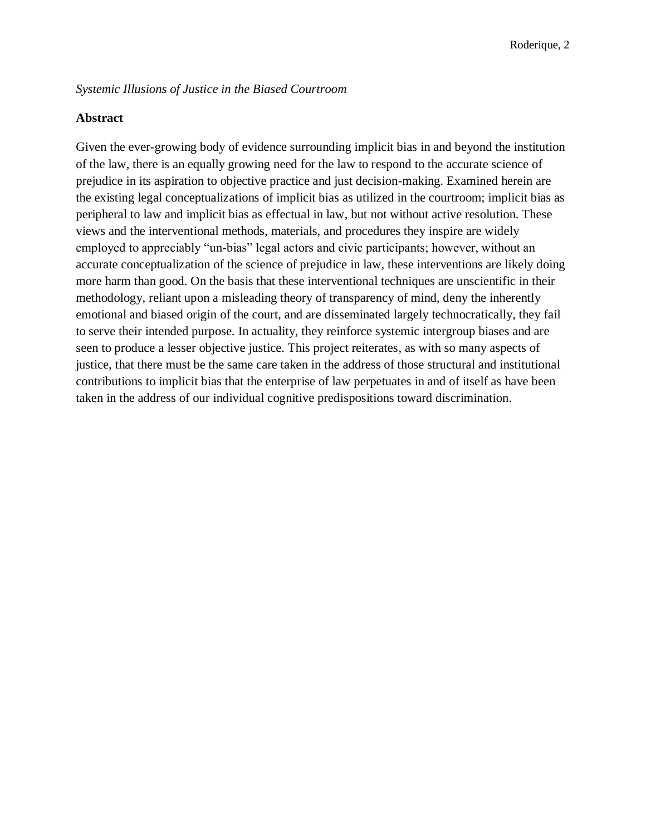#### *Systemic Illusions of Justice in the Biased Courtroom*

#### **Abstract**

Given the ever-growing body of evidence surrounding implicit bias in and beyond the institution of the law, there is an equally growing need for the law to respond to the accurate science of prejudice in its aspiration to objective practice and just decision-making. Examined herein are the existing legal conceptualizations of implicit bias as utilized in the courtroom; implicit bias as peripheral to law and implicit bias as effectual in law, but not without active resolution. These views and the interventional methods, materials, and procedures they inspire are widely employed to appreciably "un-bias" legal actors and civic participants; however, without an accurate conceptualization of the science of prejudice in law, these interventions are likely doing more harm than good. On the basis that these interventional techniques are unscientific in their methodology, reliant upon a misleading theory of transparency of mind, deny the inherently emotional and biased origin of the court, and are disseminated largely technocratically, they fail to serve their intended purpose. In actuality, they reinforce systemic intergroup biases and are seen to produce a lesser objective justice. This project reiterates, as with so many aspects of justice, that there must be the same care taken in the address of those structural and institutional contributions to implicit bias that the enterprise of law perpetuates in and of itself as have been taken in the address of our individual cognitive predispositions toward discrimination.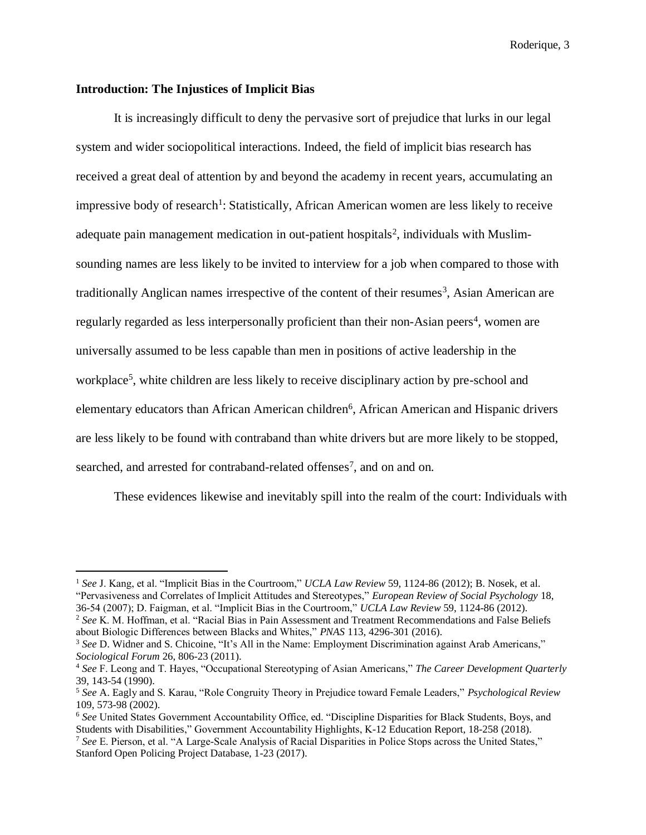#### **Introduction: The Injustices of Implicit Bias**

 $\overline{a}$ 

It is increasingly difficult to deny the pervasive sort of prejudice that lurks in our legal system and wider sociopolitical interactions. Indeed, the field of implicit bias research has received a great deal of attention by and beyond the academy in recent years, accumulating an impressive body of research<sup>1</sup>: Statistically, African American women are less likely to receive adequate pain management medication in out-patient hospitals<sup>2</sup>, individuals with Muslimsounding names are less likely to be invited to interview for a job when compared to those with traditionally Anglican names irrespective of the content of their resumes<sup>3</sup>, Asian American are regularly regarded as less interpersonally proficient than their non-Asian peers<sup>4</sup>, women are universally assumed to be less capable than men in positions of active leadership in the workplace<sup>5</sup>, white children are less likely to receive disciplinary action by pre-school and elementary educators than African American children<sup>6</sup>, African American and Hispanic drivers are less likely to be found with contraband than white drivers but are more likely to be stopped, searched, and arrested for contraband-related offenses<sup>7</sup>, and on and on.

These evidences likewise and inevitably spill into the realm of the court: Individuals with

<sup>1</sup> *See* J. Kang, et al. "Implicit Bias in the Courtroom," *UCLA Law Review* 59, 1124-86 (2012); B. Nosek, et al. "Pervasiveness and Correlates of Implicit Attitudes and Stereotypes," *European Review of Social Psychology* 18, 36-54 (2007); D. Faigman, et al. "Implicit Bias in the Courtroom," *UCLA Law Review* 59, 1124-86 (2012).

<sup>2</sup> *See* K. M. Hoffman, et al. "Racial Bias in Pain Assessment and Treatment Recommendations and False Beliefs about Biologic Differences between Blacks and Whites," *PNAS* 113, 4296-301 (2016).

<sup>&</sup>lt;sup>3</sup> See D. Widner and S. Chicoine, "It's All in the Name: Employment Discrimination against Arab Americans," *Sociological Forum* 26, 806-23 (2011).

<sup>4</sup> *See* F. Leong and T. Hayes, "Occupational Stereotyping of Asian Americans," *The Career Development Quarterly*  39, 143-54 (1990).

<sup>5</sup> *See* A. Eagly and S. Karau, "Role Congruity Theory in Prejudice toward Female Leaders," *Psychological Review* 109, 573-98 (2002).

<sup>6</sup> *See* United States Government Accountability Office, ed. "Discipline Disparities for Black Students, Boys, and Students with Disabilities," Government Accountability Highlights, K-12 Education Report, 18-258 (2018).

<sup>7</sup> *See* E. Pierson, et al. "A Large-Scale Analysis of Racial Disparities in Police Stops across the United States," Stanford Open Policing Project Database, 1-23 (2017).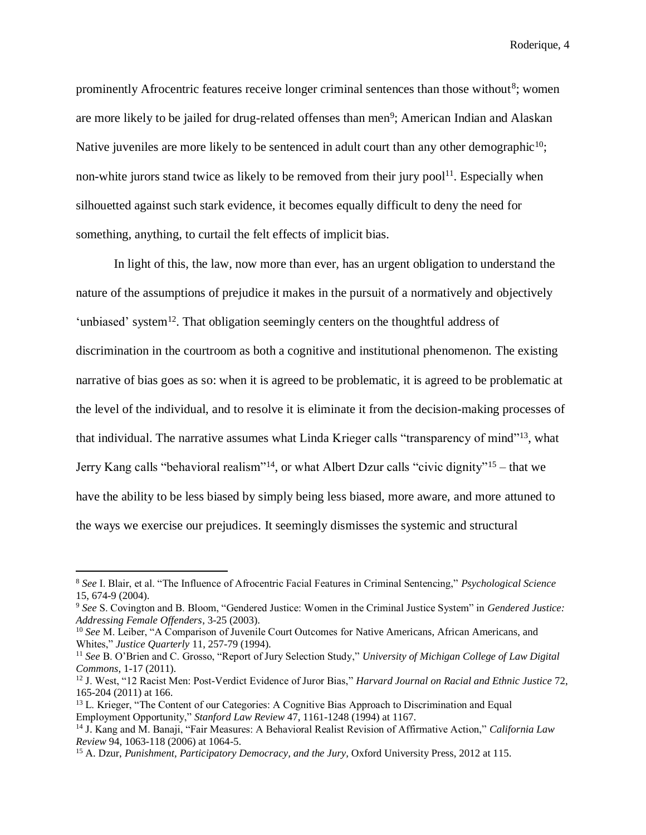prominently Afrocentric features receive longer criminal sentences than those without<sup>8</sup>; women are more likely to be jailed for drug-related offenses than men<sup>9</sup>; American Indian and Alaskan Native juveniles are more likely to be sentenced in adult court than any other demographic<sup>10</sup>; non-white jurors stand twice as likely to be removed from their jury pool<sup>11</sup>. Especially when silhouetted against such stark evidence, it becomes equally difficult to deny the need for something, anything, to curtail the felt effects of implicit bias.

In light of this, the law, now more than ever, has an urgent obligation to understand the nature of the assumptions of prejudice it makes in the pursuit of a normatively and objectively 'unbiased' system<sup>12</sup>. That obligation seemingly centers on the thoughtful address of discrimination in the courtroom as both a cognitive and institutional phenomenon. The existing narrative of bias goes as so: when it is agreed to be problematic, it is agreed to be problematic at the level of the individual, and to resolve it is eliminate it from the decision-making processes of that individual. The narrative assumes what Linda Krieger calls "transparency of mind"<sup>13</sup>, what Jerry Kang calls "behavioral realism"<sup>14</sup>, or what Albert Dzur calls "civic dignity"<sup>15</sup> – that we have the ability to be less biased by simply being less biased, more aware, and more attuned to the ways we exercise our prejudices. It seemingly dismisses the systemic and structural

<sup>8</sup> *See* I. Blair, et al. "The Influence of Afrocentric Facial Features in Criminal Sentencing," *Psychological Science*  15, 674-9 (2004).

<sup>9</sup> *See* S. Covington and B. Bloom, "Gendered Justice: Women in the Criminal Justice System" in *Gendered Justice: Addressing Female Offenders*, 3-25 (2003).

<sup>10</sup> *See* M. Leiber, "A Comparison of Juvenile Court Outcomes for Native Americans, African Americans, and Whites," *Justice Quarterly* 11, 257-79 (1994).

<sup>11</sup> *See* B. O'Brien and C. Grosso, "Report of Jury Selection Study," *University of Michigan College of Law Digital Commons*, 1-17 (2011).

<sup>12</sup> J. West, "12 Racist Men: Post-Verdict Evidence of Juror Bias," *Harvard Journal on Racial and Ethnic Justice* 72, 165-204 (2011) at 166.

<sup>&</sup>lt;sup>13</sup> L. Krieger, "The Content of our Categories: A Cognitive Bias Approach to Discrimination and Equal Employment Opportunity," *Stanford Law Review* 47, 1161-1248 (1994) at 1167.

<sup>14</sup> J. Kang and M. Banaji, "Fair Measures: A Behavioral Realist Revision of Affirmative Action," *California Law Review* 94, 1063-118 (2006) at 1064-5.

<sup>&</sup>lt;sup>15</sup> A. Dzur, *Punishment, Participatory Democracy, and the Jury*, Oxford University Press, 2012 at 115.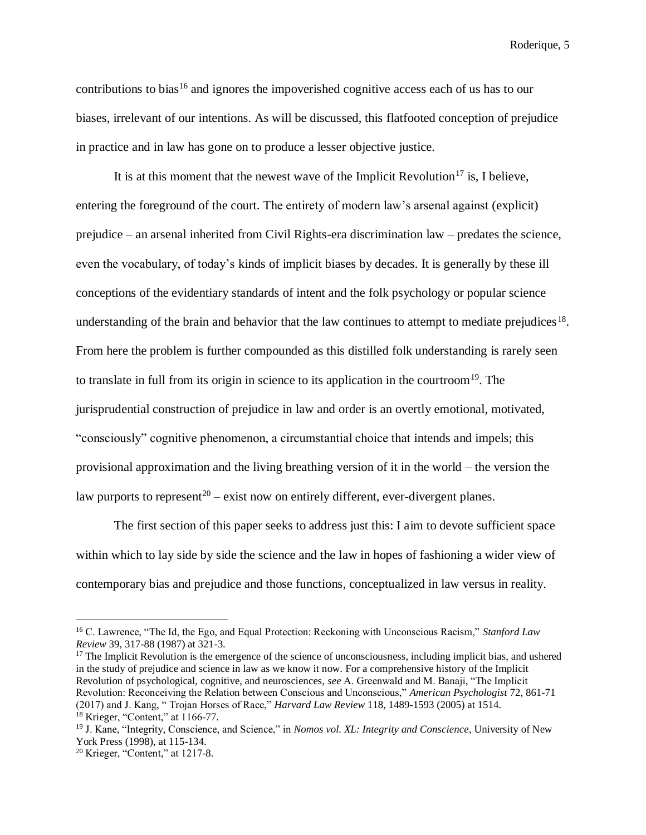contributions to bias<sup>16</sup> and ignores the impoverished cognitive access each of us has to our biases, irrelevant of our intentions. As will be discussed, this flatfooted conception of prejudice in practice and in law has gone on to produce a lesser objective justice.

It is at this moment that the newest wave of the Implicit Revolution<sup>17</sup> is, I believe, entering the foreground of the court. The entirety of modern law's arsenal against (explicit) prejudice – an arsenal inherited from Civil Rights-era discrimination law – predates the science, even the vocabulary, of today's kinds of implicit biases by decades. It is generally by these ill conceptions of the evidentiary standards of intent and the folk psychology or popular science understanding of the brain and behavior that the law continues to attempt to mediate prejudices<sup>18</sup>. From here the problem is further compounded as this distilled folk understanding is rarely seen to translate in full from its origin in science to its application in the courtroom<sup>19</sup>. The jurisprudential construction of prejudice in law and order is an overtly emotional, motivated, "consciously" cognitive phenomenon, a circumstantial choice that intends and impels; this provisional approximation and the living breathing version of it in the world – the version the law purports to represent<sup>20</sup> – exist now on entirely different, ever-divergent planes.

The first section of this paper seeks to address just this: I aim to devote sufficient space within which to lay side by side the science and the law in hopes of fashioning a wider view of contemporary bias and prejudice and those functions, conceptualized in law versus in reality.

 $17$  The Implicit Revolution is the emergence of the science of unconsciousness, including implicit bias, and ushered in the study of prejudice and science in law as we know it now. For a comprehensive history of the Implicit Revolution of psychological, cognitive, and neurosciences, *see* A. Greenwald and M. Banaji, "The Implicit Revolution: Reconceiving the Relation between Conscious and Unconscious," *American Psychologist* 72, 861-71 (2017) and J. Kang, " Trojan Horses of Race," *Harvard Law Review* 118, 1489-1593 (2005) at 1514.  $18$  Krieger, "Content," at 1166-77.

<sup>16</sup> C. Lawrence, "The Id, the Ego, and Equal Protection: Reckoning with Unconscious Racism," *Stanford Law Review* 39, 317-88 (1987) at 321-3.

<sup>19</sup> J. Kane, "Integrity, Conscience, and Science," in *Nomos vol. XL: Integrity and Conscience*, University of New York Press (1998), at 115-134.

 $20$  Krieger, "Content," at 1217-8.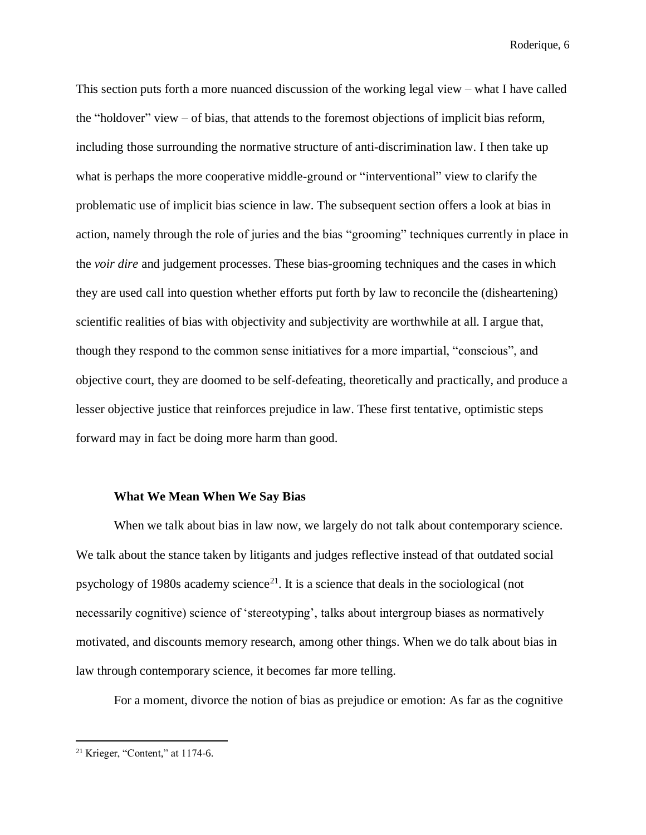This section puts forth a more nuanced discussion of the working legal view – what I have called the "holdover" view – of bias, that attends to the foremost objections of implicit bias reform, including those surrounding the normative structure of anti-discrimination law. I then take up what is perhaps the more cooperative middle-ground or "interventional" view to clarify the problematic use of implicit bias science in law. The subsequent section offers a look at bias in action, namely through the role of juries and the bias "grooming" techniques currently in place in the *voir dire* and judgement processes. These bias-grooming techniques and the cases in which they are used call into question whether efforts put forth by law to reconcile the (disheartening) scientific realities of bias with objectivity and subjectivity are worthwhile at all. I argue that, though they respond to the common sense initiatives for a more impartial, "conscious", and objective court, they are doomed to be self-defeating, theoretically and practically, and produce a lesser objective justice that reinforces prejudice in law. These first tentative, optimistic steps forward may in fact be doing more harm than good.

#### **What We Mean When We Say Bias**

When we talk about bias in law now, we largely do not talk about contemporary science. We talk about the stance taken by litigants and judges reflective instead of that outdated social psychology of 1980s academy science $^{21}$ . It is a science that deals in the sociological (not necessarily cognitive) science of 'stereotyping', talks about intergroup biases as normatively motivated, and discounts memory research, among other things. When we do talk about bias in law through contemporary science, it becomes far more telling.

For a moment, divorce the notion of bias as prejudice or emotion: As far as the cognitive

 $21$  Krieger, "Content," at 1174-6.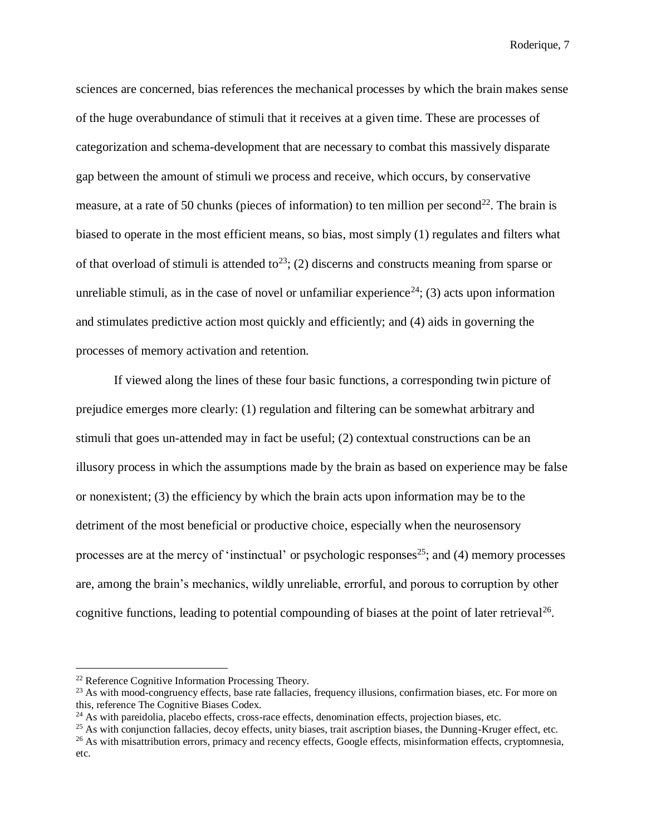sciences are concerned, bias references the mechanical processes by which the brain makes sense of the huge overabundance of stimuli that it receives at a given time. These are processes of categorization and schema-development that are necessary to combat this massively disparate gap between the amount of stimuli we process and receive, which occurs, by conservative measure, at a rate of 50 chunks (pieces of information) to ten million per second<sup>22</sup>. The brain is biased to operate in the most efficient means, so bias, most simply (1) regulates and filters what of that overload of stimuli is attended to<sup>23</sup>; (2) discerns and constructs meaning from sparse or unreliable stimuli, as in the case of novel or unfamiliar experience<sup>24</sup>; (3) acts upon information and stimulates predictive action most quickly and efficiently; and (4) aids in governing the processes of memory activation and retention.

If viewed along the lines of these four basic functions, a corresponding twin picture of prejudice emerges more clearly: (1) regulation and filtering can be somewhat arbitrary and stimuli that goes un-attended may in fact be useful; (2) contextual constructions can be an illusory process in which the assumptions made by the brain as based on experience may be false or nonexistent; (3) the efficiency by which the brain acts upon information may be to the detriment of the most beneficial or productive choice, especially when the neurosensory processes are at the mercy of 'instinctual' or psychologic responses<sup>25</sup>; and (4) memory processes are, among the brain's mechanics, wildly unreliable, errorful, and porous to corruption by other cognitive functions, leading to potential compounding of biases at the point of later retrieval<sup>26</sup>.

<sup>&</sup>lt;sup>22</sup> Reference Cognitive Information Processing Theory.

<sup>&</sup>lt;sup>23</sup> As with mood-congruency effects, base rate fallacies, frequency illusions, confirmation biases, etc. For more on this, reference The Cognitive Biases Codex.

 $^{24}$  As with pareidolia, placebo effects, cross-race effects, denomination effects, projection biases, etc.

<sup>&</sup>lt;sup>25</sup> As with conjunction fallacies, decoy effects, unity biases, trait ascription biases, the Dunning-Kruger effect, etc.

<sup>&</sup>lt;sup>26</sup> As with misattribution errors, primacy and recency effects, Google effects, misinformation effects, cryptomnesia, etc.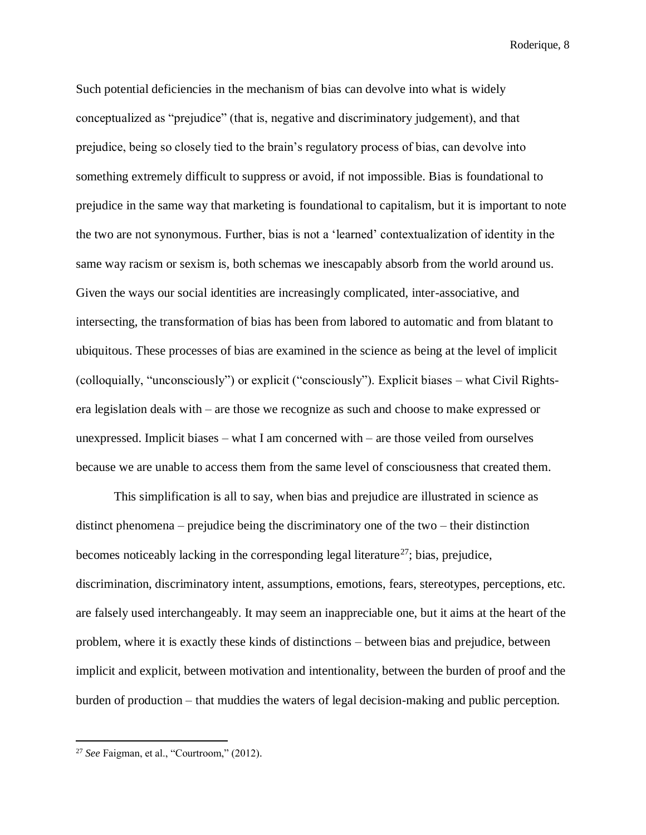Such potential deficiencies in the mechanism of bias can devolve into what is widely conceptualized as "prejudice" (that is, negative and discriminatory judgement), and that prejudice, being so closely tied to the brain's regulatory process of bias, can devolve into something extremely difficult to suppress or avoid, if not impossible. Bias is foundational to prejudice in the same way that marketing is foundational to capitalism, but it is important to note the two are not synonymous. Further, bias is not a 'learned' contextualization of identity in the same way racism or sexism is, both schemas we inescapably absorb from the world around us. Given the ways our social identities are increasingly complicated, inter-associative, and intersecting, the transformation of bias has been from labored to automatic and from blatant to ubiquitous. These processes of bias are examined in the science as being at the level of implicit (colloquially, "unconsciously") or explicit ("consciously"). Explicit biases – what Civil Rightsera legislation deals with – are those we recognize as such and choose to make expressed or unexpressed. Implicit biases – what I am concerned with – are those veiled from ourselves because we are unable to access them from the same level of consciousness that created them.

This simplification is all to say, when bias and prejudice are illustrated in science as distinct phenomena – prejudice being the discriminatory one of the two – their distinction becomes noticeably lacking in the corresponding legal literature<sup>27</sup>; bias, prejudice, discrimination, discriminatory intent, assumptions, emotions, fears, stereotypes, perceptions, etc. are falsely used interchangeably. It may seem an inappreciable one, but it aims at the heart of the problem, where it is exactly these kinds of distinctions – between bias and prejudice, between implicit and explicit, between motivation and intentionality, between the burden of proof and the burden of production – that muddies the waters of legal decision-making and public perception.

<sup>27</sup> *See* Faigman, et al., "Courtroom," (2012).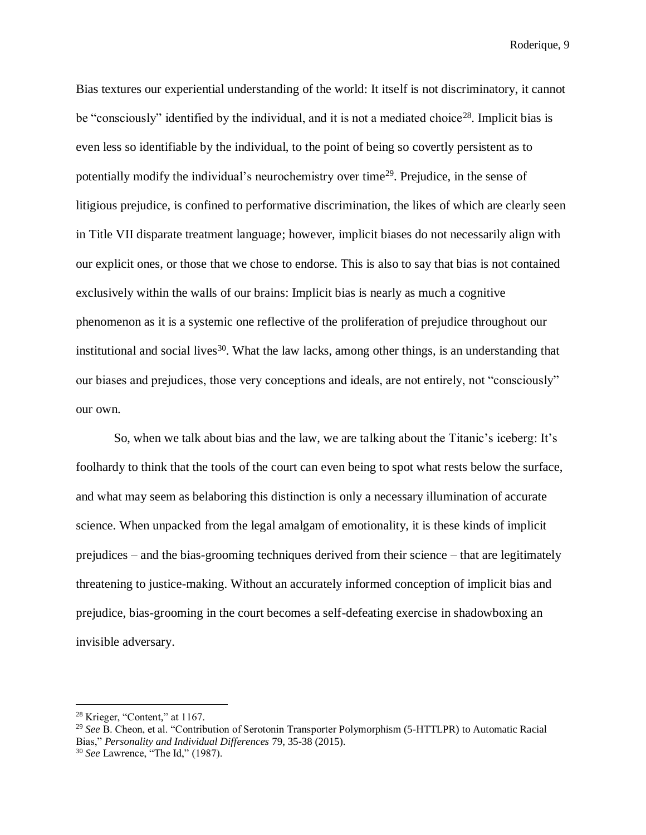Bias textures our experiential understanding of the world: It itself is not discriminatory, it cannot be "consciously" identified by the individual, and it is not a mediated choice<sup>28</sup>. Implicit bias is even less so identifiable by the individual, to the point of being so covertly persistent as to potentially modify the individual's neurochemistry over time<sup>29</sup>. Prejudice, in the sense of litigious prejudice, is confined to performative discrimination, the likes of which are clearly seen in Title VII disparate treatment language; however, implicit biases do not necessarily align with our explicit ones, or those that we chose to endorse. This is also to say that bias is not contained exclusively within the walls of our brains: Implicit bias is nearly as much a cognitive phenomenon as it is a systemic one reflective of the proliferation of prejudice throughout our institutional and social lives<sup>30</sup>. What the law lacks, among other things, is an understanding that our biases and prejudices, those very conceptions and ideals, are not entirely, not "consciously" our own.

So, when we talk about bias and the law, we are talking about the Titanic's iceberg: It's foolhardy to think that the tools of the court can even being to spot what rests below the surface, and what may seem as belaboring this distinction is only a necessary illumination of accurate science. When unpacked from the legal amalgam of emotionality, it is these kinds of implicit prejudices – and the bias-grooming techniques derived from their science – that are legitimately threatening to justice-making. Without an accurately informed conception of implicit bias and prejudice, bias-grooming in the court becomes a self-defeating exercise in shadowboxing an invisible adversary.

<sup>28</sup> Krieger, "Content," at 1167.

<sup>29</sup> *See* B. Cheon, et al. "Contribution of Serotonin Transporter Polymorphism (5-HTTLPR) to Automatic Racial Bias," *Personality and Individual Differences* 79, 35-38 (2015).

<sup>30</sup> *See* Lawrence, "The Id," (1987).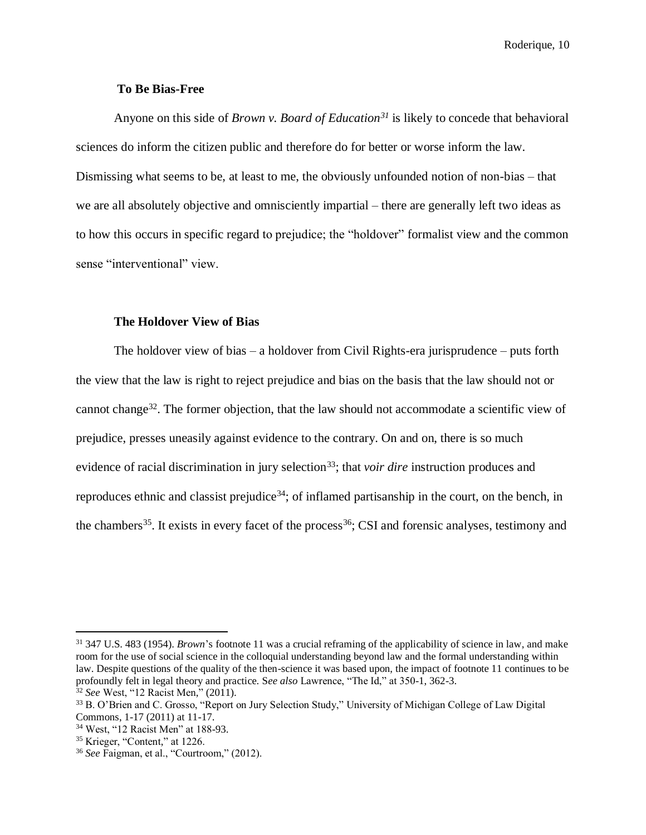#### **To Be Bias-Free**

Anyone on this side of *Brown v. Board of Education<sup>31</sup>* is likely to concede that behavioral sciences do inform the citizen public and therefore do for better or worse inform the law. Dismissing what seems to be, at least to me, the obviously unfounded notion of non-bias – that we are all absolutely objective and omnisciently impartial – there are generally left two ideas as to how this occurs in specific regard to prejudice; the "holdover" formalist view and the common sense "interventional" view.

#### **The Holdover View of Bias**

The holdover view of bias – a holdover from Civil Rights-era jurisprudence – puts forth the view that the law is right to reject prejudice and bias on the basis that the law should not or cannot change<sup>32</sup>. The former objection, that the law should not accommodate a scientific view of prejudice, presses uneasily against evidence to the contrary. On and on, there is so much evidence of racial discrimination in jury selection<sup>33</sup>; that *voir dire* instruction produces and reproduces ethnic and classist prejudice<sup>34</sup>; of inflamed partisanship in the court, on the bench, in the chambers<sup>35</sup>. It exists in every facet of the process<sup>36</sup>; CSI and forensic analyses, testimony and

<sup>31</sup> 347 U.S. 483 (1954). *Brown*'s footnote 11 was a crucial reframing of the applicability of science in law, and make room for the use of social science in the colloquial understanding beyond law and the formal understanding within law. Despite questions of the quality of the then-science it was based upon, the impact of footnote 11 continues to be profoundly felt in legal theory and practice. S*ee also* Lawrence, "The Id," at 350-1, 362-3.

<sup>32</sup> *See* West, "12 Racist Men," (2011).

<sup>33</sup> B. O'Brien and C. Grosso, "Report on Jury Selection Study," University of Michigan College of Law Digital Commons, 1-17 (2011) at 11-17.

<sup>34</sup> West, "12 Racist Men" at 188-93.

<sup>35</sup> Krieger, "Content," at 1226.

<sup>36</sup> *See* Faigman, et al., "Courtroom," (2012).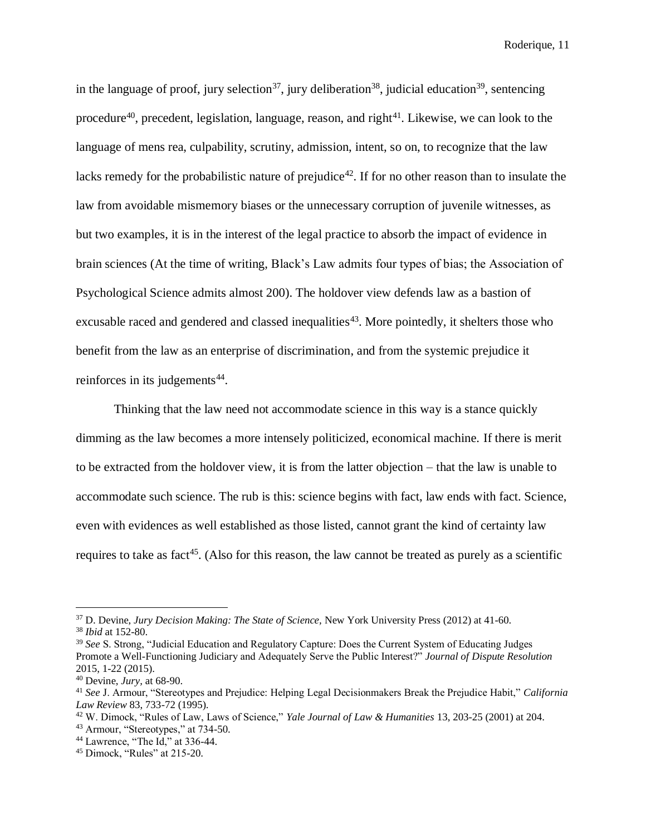in the language of proof, jury selection<sup>37</sup>, jury deliberation<sup>38</sup>, judicial education<sup>39</sup>, sentencing procedure<sup>40</sup>, precedent, legislation, language, reason, and right<sup>41</sup>. Likewise, we can look to the language of mens rea, culpability, scrutiny, admission, intent, so on, to recognize that the law lacks remedy for the probabilistic nature of prejudice<sup>42</sup>. If for no other reason than to insulate the law from avoidable mismemory biases or the unnecessary corruption of juvenile witnesses, as but two examples, it is in the interest of the legal practice to absorb the impact of evidence in brain sciences (At the time of writing, Black's Law admits four types of bias; the Association of Psychological Science admits almost 200). The holdover view defends law as a bastion of excusable raced and gendered and classed inequalities<sup>43</sup>. More pointedly, it shelters those who benefit from the law as an enterprise of discrimination, and from the systemic prejudice it reinforces in its judgements<sup>44</sup>.

Thinking that the law need not accommodate science in this way is a stance quickly dimming as the law becomes a more intensely politicized, economical machine. If there is merit to be extracted from the holdover view, it is from the latter objection – that the law is unable to accommodate such science. The rub is this: science begins with fact, law ends with fact. Science, even with evidences as well established as those listed, cannot grant the kind of certainty law requires to take as fact<sup>45</sup>. (Also for this reason, the law cannot be treated as purely as a scientific

<sup>37</sup> D. Devine, *Jury Decision Making: The State of Science,* New York University Press (2012) at 41-60.

<sup>38</sup> *Ibid* at 152-80.

<sup>&</sup>lt;sup>39</sup> See S. Strong, "Judicial Education and Regulatory Capture: Does the Current System of Educating Judges Promote a Well-Functioning Judiciary and Adequately Serve the Public Interest?" *Journal of Dispute Resolution* 2015, 1-22 (2015).

<sup>40</sup> Devine, *Jury,* at 68-90.

<sup>41</sup> *See* J. Armour, "Stereotypes and Prejudice: Helping Legal Decisionmakers Break the Prejudice Habit," *California Law Review* 83, 733-72 (1995).

<sup>42</sup> W. Dimock, "Rules of Law, Laws of Science," *Yale Journal of Law & Humanities* 13, 203-25 (2001) at 204. <sup>43</sup> Armour, "Stereotypes," at 734-50.

<sup>44</sup> Lawrence, "The Id," at 336-44.

<sup>45</sup> Dimock, "Rules" at 215-20.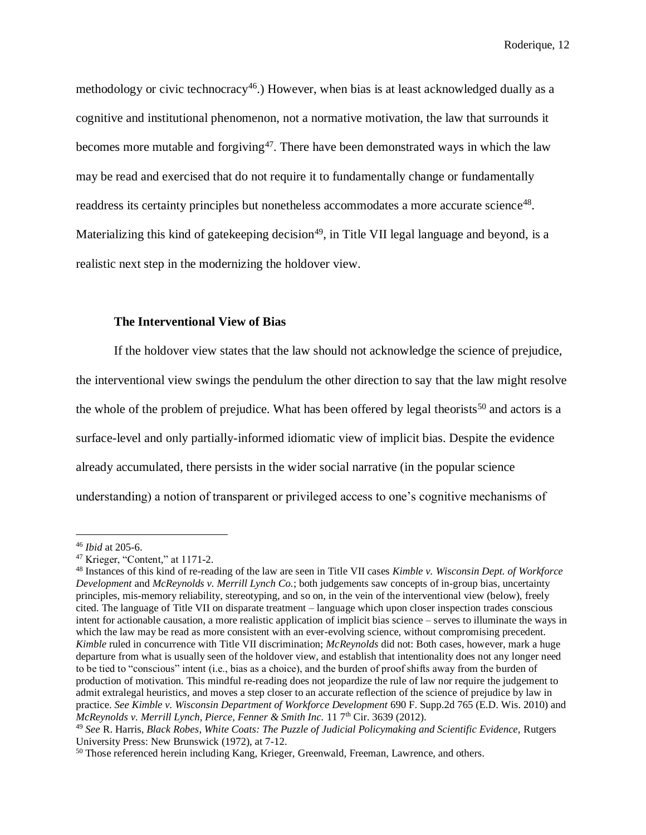methodology or civic technocracy<sup>46</sup>.) However, when bias is at least acknowledged dually as a cognitive and institutional phenomenon, not a normative motivation, the law that surrounds it becomes more mutable and forgiving<sup>47</sup>. There have been demonstrated ways in which the law may be read and exercised that do not require it to fundamentally change or fundamentally readdress its certainty principles but nonetheless accommodates a more accurate science<sup>48</sup>. Materializing this kind of gatekeeping decision<sup>49</sup>, in Title VII legal language and beyond, is a realistic next step in the modernizing the holdover view.

#### **The Interventional View of Bias**

If the holdover view states that the law should not acknowledge the science of prejudice, the interventional view swings the pendulum the other direction to say that the law might resolve the whole of the problem of prejudice. What has been offered by legal theorists<sup>50</sup> and actors is a surface-level and only partially-informed idiomatic view of implicit bias. Despite the evidence already accumulated, there persists in the wider social narrative (in the popular science understanding) a notion of transparent or privileged access to one's cognitive mechanisms of

<sup>46</sup> *Ibid* at 205-6.

<sup>47</sup> Krieger, "Content," at 1171-2.

<sup>48</sup> Instances of this kind of re-reading of the law are seen in Title VII cases *Kimble v. Wisconsin Dept. of Workforce Development* and *McReynolds v. Merrill Lynch Co.*; both judgements saw concepts of in-group bias, uncertainty principles, mis-memory reliability, stereotyping, and so on, in the vein of the interventional view (below), freely cited. The language of Title VII on disparate treatment – language which upon closer inspection trades conscious intent for actionable causation, a more realistic application of implicit bias science – serves to illuminate the ways in which the law may be read as more consistent with an ever-evolving science, without compromising precedent. *Kimble* ruled in concurrence with Title VII discrimination; *McReynolds* did not: Both cases, however, mark a huge departure from what is usually seen of the holdover view, and establish that intentionality does not any longer need to be tied to "conscious" intent (i.e., bias as a choice), and the burden of proof shifts away from the burden of production of motivation. This mindful re-reading does not jeopardize the rule of law nor require the judgement to admit extralegal heuristics, and moves a step closer to an accurate reflection of the science of prejudice by law in practice. *See Kimble v. Wisconsin Department of Workforce Development* 690 F. Supp.2d 765 (E.D. Wis. 2010) and *McReynolds v. Merrill Lynch, Pierce, Fenner & Smith Inc.* 11 7<sup>th</sup> Cir. 3639 (2012).

<sup>49</sup> *See* R. Harris, *Black Robes, White Coats: The Puzzle of Judicial Policymaking and Scientific Evidence,* Rutgers University Press: New Brunswick (1972), at 7-12.

<sup>&</sup>lt;sup>50</sup> Those referenced herein including Kang, Krieger, Greenwald, Freeman, Lawrence, and others.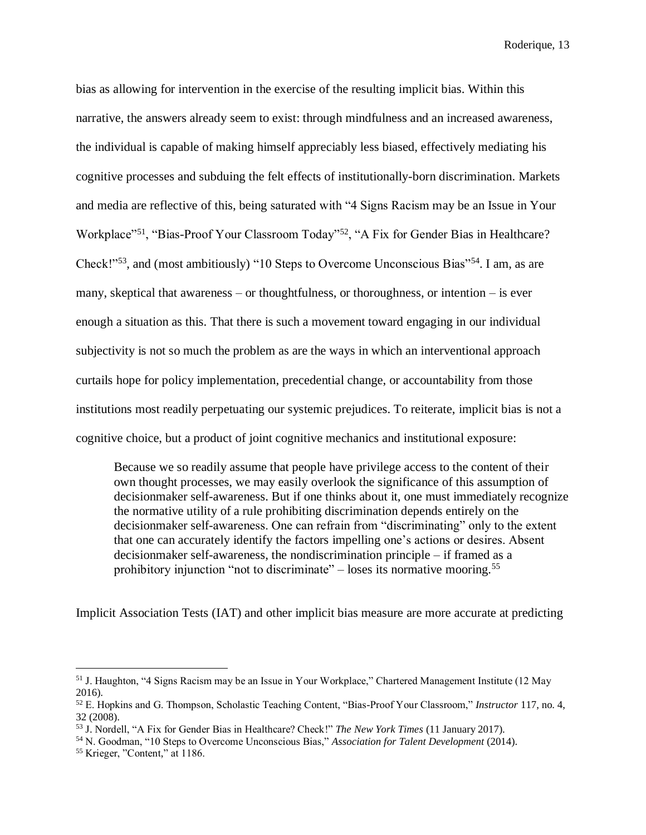bias as allowing for intervention in the exercise of the resulting implicit bias. Within this narrative, the answers already seem to exist: through mindfulness and an increased awareness, the individual is capable of making himself appreciably less biased, effectively mediating his cognitive processes and subduing the felt effects of institutionally-born discrimination. Markets and media are reflective of this, being saturated with "4 Signs Racism may be an Issue in Your Workplace"<sup>51</sup>, "Bias-Proof Your Classroom Today"<sup>52</sup>, "A Fix for Gender Bias in Healthcare? Check!"<sup>53</sup>, and (most ambitiously) "10 Steps to Overcome Unconscious Bias"<sup>54</sup>. I am, as are many, skeptical that awareness – or thoughtfulness, or thoroughness, or intention – is ever enough a situation as this. That there is such a movement toward engaging in our individual subjectivity is not so much the problem as are the ways in which an interventional approach curtails hope for policy implementation, precedential change, or accountability from those institutions most readily perpetuating our systemic prejudices. To reiterate, implicit bias is not a cognitive choice, but a product of joint cognitive mechanics and institutional exposure:

Because we so readily assume that people have privilege access to the content of their own thought processes, we may easily overlook the significance of this assumption of decisionmaker self-awareness. But if one thinks about it, one must immediately recognize the normative utility of a rule prohibiting discrimination depends entirely on the decisionmaker self-awareness. One can refrain from "discriminating" only to the extent that one can accurately identify the factors impelling one's actions or desires. Absent decisionmaker self-awareness, the nondiscrimination principle – if framed as a prohibitory injunction "not to discriminate" – loses its normative mooring.<sup>55</sup>

Implicit Association Tests (IAT) and other implicit bias measure are more accurate at predicting

<sup>51</sup> J. Haughton, "4 Signs Racism may be an Issue in Your Workplace," Chartered Management Institute (12 May 2016).

<sup>52</sup> E. Hopkins and G. Thompson, Scholastic Teaching Content, "Bias-Proof Your Classroom," *Instructor* 117, no. 4, 32 (2008).

<sup>53</sup> J. Nordell, "A Fix for Gender Bias in Healthcare? Check!" *The New York Times* (11 January 2017).

<sup>54</sup> N. Goodman, "10 Steps to Overcome Unconscious Bias," *Association for Talent Development* (2014).

<sup>55</sup> Krieger, "Content," at 1186.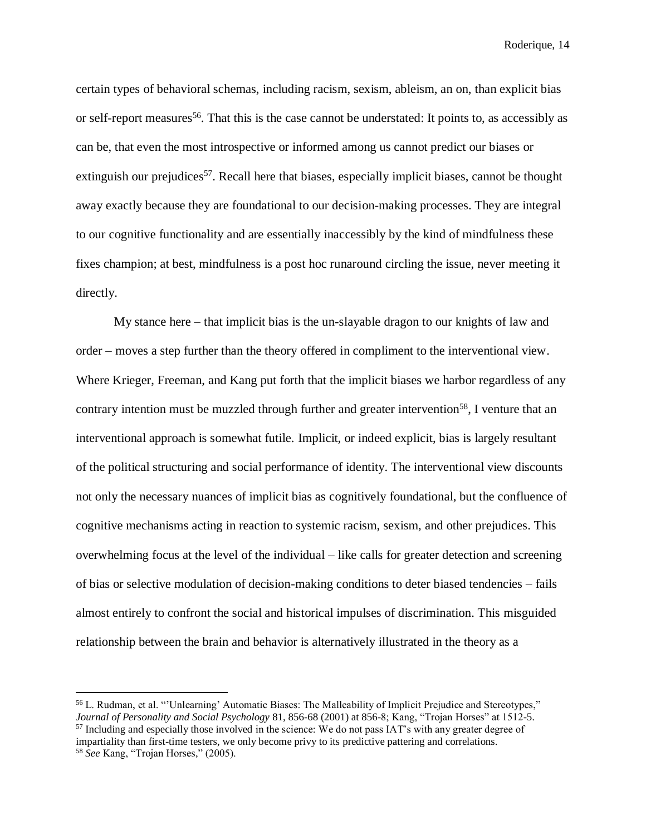certain types of behavioral schemas, including racism, sexism, ableism, an on, than explicit bias or self-report measures<sup>56</sup>. That this is the case cannot be understated: It points to, as accessibly as can be, that even the most introspective or informed among us cannot predict our biases or extinguish our prejudices<sup>57</sup>. Recall here that biases, especially implicit biases, cannot be thought away exactly because they are foundational to our decision-making processes. They are integral to our cognitive functionality and are essentially inaccessibly by the kind of mindfulness these fixes champion; at best, mindfulness is a post hoc runaround circling the issue, never meeting it directly.

My stance here – that implicit bias is the un-slayable dragon to our knights of law and order – moves a step further than the theory offered in compliment to the interventional view. Where Krieger, Freeman, and Kang put forth that the implicit biases we harbor regardless of any contrary intention must be muzzled through further and greater intervention<sup>58</sup>, I venture that an interventional approach is somewhat futile. Implicit, or indeed explicit, bias is largely resultant of the political structuring and social performance of identity. The interventional view discounts not only the necessary nuances of implicit bias as cognitively foundational, but the confluence of cognitive mechanisms acting in reaction to systemic racism, sexism, and other prejudices. This overwhelming focus at the level of the individual – like calls for greater detection and screening of bias or selective modulation of decision-making conditions to deter biased tendencies – fails almost entirely to confront the social and historical impulses of discrimination. This misguided relationship between the brain and behavior is alternatively illustrated in the theory as a

<sup>56</sup> L. Rudman, et al. "'Unlearning' Automatic Biases: The Malleability of Implicit Prejudice and Stereotypes," *Journal of Personality and Social Psychology* 81, 856-68 (2001) at 856-8; Kang, "Trojan Horses" at 1512-5. <sup>57</sup> Including and especially those involved in the science: We do not pass IAT's with any greater degree of impartiality than first-time testers, we only become privy to its predictive pattering and correlations. <sup>58</sup> *See* Kang, "Trojan Horses," (2005).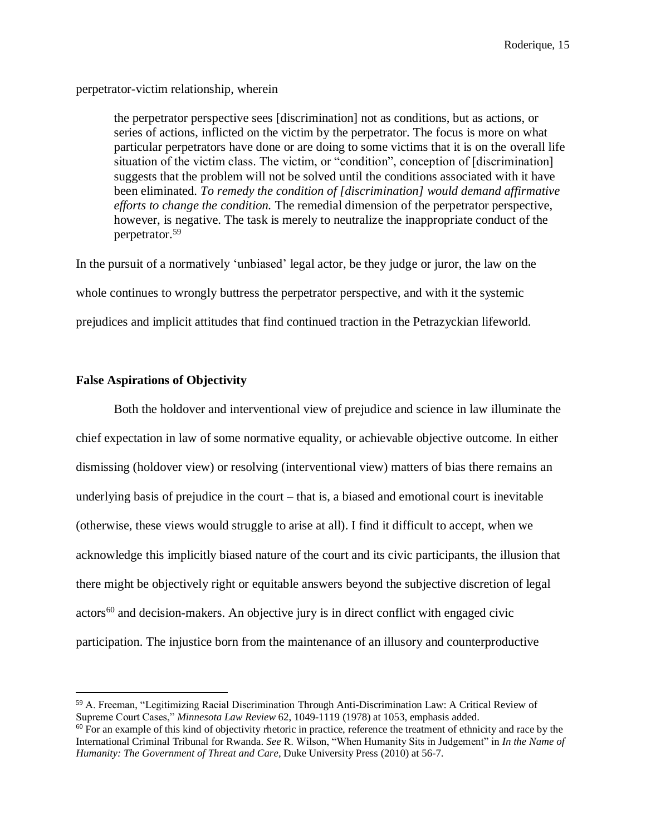perpetrator-victim relationship, wherein

the perpetrator perspective sees [discrimination] not as conditions, but as actions, or series of actions, inflicted on the victim by the perpetrator. The focus is more on what particular perpetrators have done or are doing to some victims that it is on the overall life situation of the victim class. The victim, or "condition", conception of [discrimination] suggests that the problem will not be solved until the conditions associated with it have been eliminated. *To remedy the condition of [discrimination] would demand affirmative efforts to change the condition.* The remedial dimension of the perpetrator perspective, however, is negative. The task is merely to neutralize the inappropriate conduct of the perpetrator.<sup>59</sup>

In the pursuit of a normatively 'unbiased' legal actor, be they judge or juror, the law on the whole continues to wrongly buttress the perpetrator perspective, and with it the systemic prejudices and implicit attitudes that find continued traction in the Petrazyckian lifeworld.

#### **False Aspirations of Objectivity**

 $\overline{a}$ 

Both the holdover and interventional view of prejudice and science in law illuminate the chief expectation in law of some normative equality, or achievable objective outcome. In either dismissing (holdover view) or resolving (interventional view) matters of bias there remains an underlying basis of prejudice in the court – that is, a biased and emotional court is inevitable (otherwise, these views would struggle to arise at all). I find it difficult to accept, when we acknowledge this implicitly biased nature of the court and its civic participants, the illusion that there might be objectively right or equitable answers beyond the subjective discretion of legal  $\arccos^{60}$  and decision-makers. An objective jury is in direct conflict with engaged civic participation. The injustice born from the maintenance of an illusory and counterproductive

<sup>59</sup> A. Freeman, "Legitimizing Racial Discrimination Through Anti-Discrimination Law: A Critical Review of Supreme Court Cases," *Minnesota Law Review* 62, 1049-1119 (1978) at 1053, emphasis added.

 $60$  For an example of this kind of objectivity rhetoric in practice, reference the treatment of ethnicity and race by the International Criminal Tribunal for Rwanda. *See* R. Wilson, "When Humanity Sits in Judgement" in *In the Name of Humanity: The Government of Threat and Care, Duke University Press (2010) at 56-7.*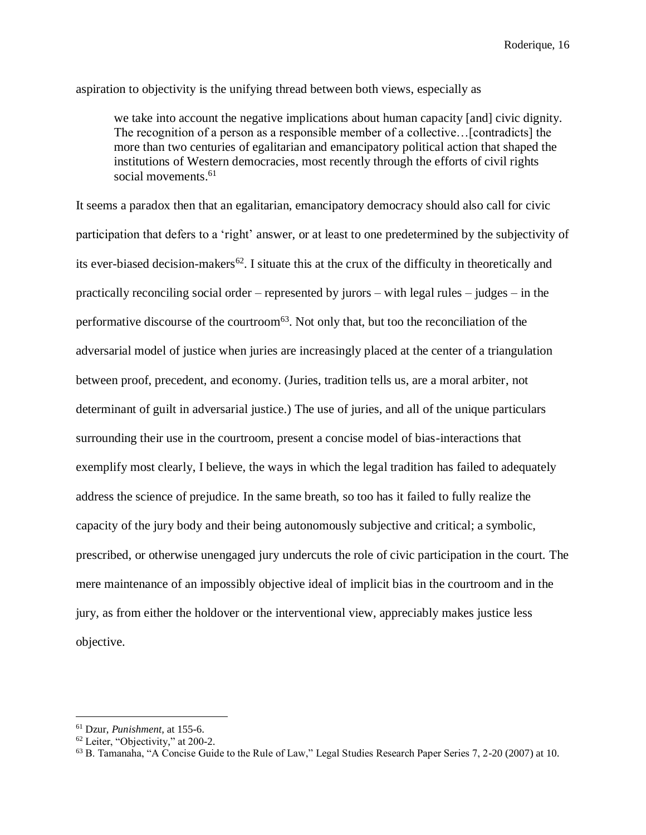aspiration to objectivity is the unifying thread between both views, especially as

we take into account the negative implications about human capacity [and] civic dignity. The recognition of a person as a responsible member of a collective…[contradicts] the more than two centuries of egalitarian and emancipatory political action that shaped the institutions of Western democracies, most recently through the efforts of civil rights social movements. 61

It seems a paradox then that an egalitarian, emancipatory democracy should also call for civic participation that defers to a 'right' answer, or at least to one predetermined by the subjectivity of its ever-biased decision-makers<sup>62</sup>. I situate this at the crux of the difficulty in theoretically and practically reconciling social order – represented by jurors – with legal rules – judges – in the performative discourse of the courtroom<sup>63</sup>. Not only that, but too the reconciliation of the adversarial model of justice when juries are increasingly placed at the center of a triangulation between proof, precedent, and economy. (Juries, tradition tells us, are a moral arbiter, not determinant of guilt in adversarial justice.) The use of juries, and all of the unique particulars surrounding their use in the courtroom, present a concise model of bias-interactions that exemplify most clearly, I believe, the ways in which the legal tradition has failed to adequately address the science of prejudice. In the same breath, so too has it failed to fully realize the capacity of the jury body and their being autonomously subjective and critical; a symbolic, prescribed, or otherwise unengaged jury undercuts the role of civic participation in the court. The mere maintenance of an impossibly objective ideal of implicit bias in the courtroom and in the jury, as from either the holdover or the interventional view, appreciably makes justice less objective.

<sup>61</sup> Dzur, *Punishment*, at 155-6.

<sup>62</sup> Leiter, "Objectivity," at 200-2.

<sup>63</sup> B. Tamanaha, "A Concise Guide to the Rule of Law," Legal Studies Research Paper Series 7, 2-20 (2007) at 10.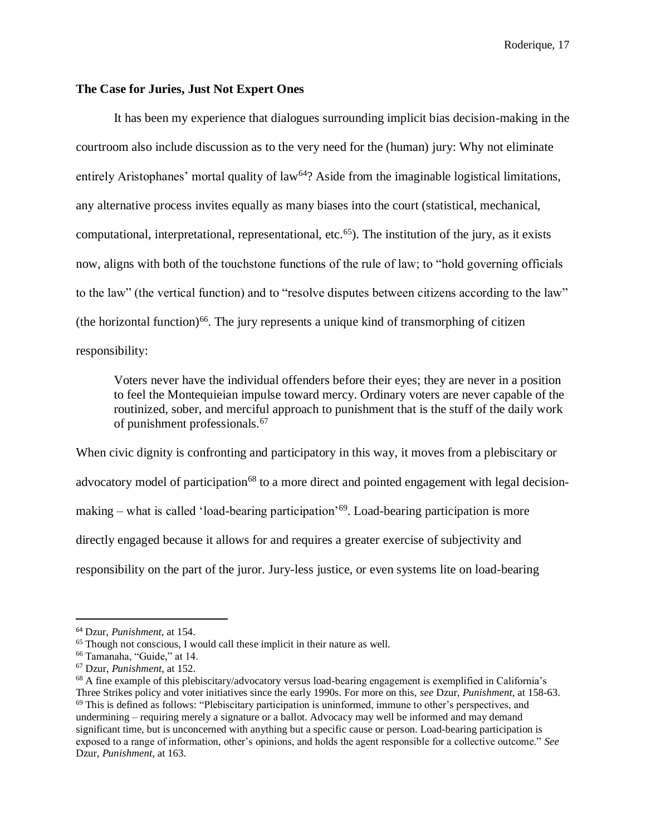#### **The Case for Juries, Just Not Expert Ones**

It has been my experience that dialogues surrounding implicit bias decision-making in the courtroom also include discussion as to the very need for the (human) jury: Why not eliminate entirely Aristophanes' mortal quality of  $law<sup>64</sup>$ ? Aside from the imaginable logistical limitations, any alternative process invites equally as many biases into the court (statistical, mechanical, computational, interpretational, representational, etc.<sup>65</sup>). The institution of the jury, as it exists now, aligns with both of the touchstone functions of the rule of law; to "hold governing officials to the law" (the vertical function) and to "resolve disputes between citizens according to the law" (the horizontal function)<sup>66</sup>. The jury represents a unique kind of transmorphing of citizen responsibility:

Voters never have the individual offenders before their eyes; they are never in a position to feel the Montequieian impulse toward mercy. Ordinary voters are never capable of the routinized, sober, and merciful approach to punishment that is the stuff of the daily work of punishment professionals.<sup>67</sup>

When civic dignity is confronting and participatory in this way, it moves from a plebiscitary or advocatory model of participation<sup>68</sup> to a more direct and pointed engagement with legal decisionmaking – what is called 'load-bearing participation'<sup>69</sup>. Load-bearing participation is more directly engaged because it allows for and requires a greater exercise of subjectivity and responsibility on the part of the juror. Jury-less justice, or even systems lite on load-bearing

<sup>64</sup> Dzur, *Punishment*, at 154.

<sup>&</sup>lt;sup>65</sup> Though not conscious, I would call these implicit in their nature as well.

<sup>66</sup> Tamanaha, "Guide," at 14.

<sup>67</sup> Dzur, *Punishment*, at 152.

<sup>68</sup> A fine example of this plebiscitary/advocatory versus load-bearing engagement is exemplified in California's Three Strikes policy and voter initiatives since the early 1990s. For more on this, *see* Dzur, *Punishment,* at 158-63. <sup>69</sup> This is defined as follows: "Plebiscitary participation is uninformed, immune to other's perspectives, and undermining – requiring merely a signature or a ballot. Advocacy may well be informed and may demand significant time, but is unconcerned with anything but a specific cause or person. Load-bearing participation is exposed to a range of information, other's opinions, and holds the agent responsible for a collective outcome." *See*  Dzur, *Punishment*, at 163.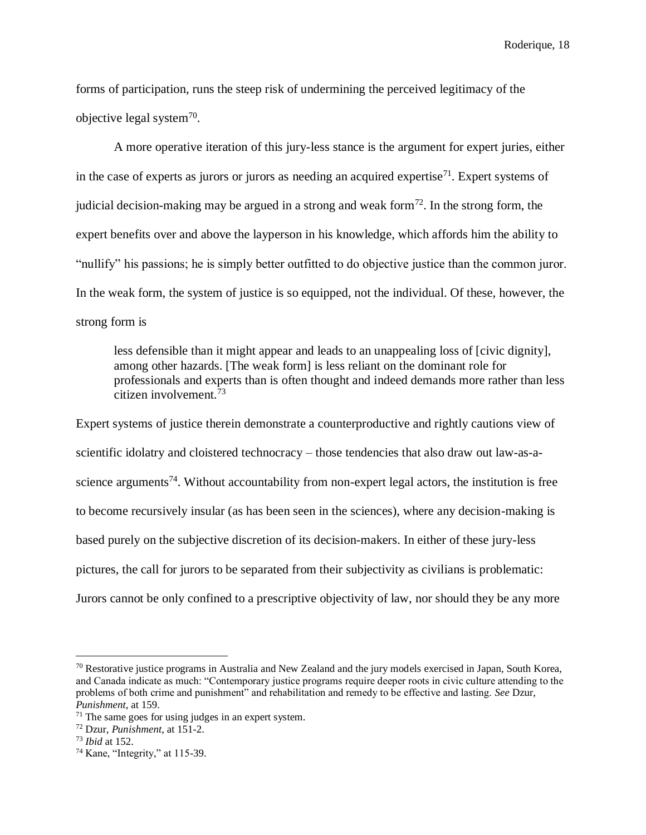forms of participation, runs the steep risk of undermining the perceived legitimacy of the objective legal system<sup>70</sup>.

A more operative iteration of this jury-less stance is the argument for expert juries, either in the case of experts as jurors or jurors as needing an acquired expertise<sup>71</sup>. Expert systems of judicial decision-making may be argued in a strong and weak form<sup>72</sup>. In the strong form, the expert benefits over and above the layperson in his knowledge, which affords him the ability to "nullify" his passions; he is simply better outfitted to do objective justice than the common juror. In the weak form, the system of justice is so equipped, not the individual. Of these, however, the strong form is

less defensible than it might appear and leads to an unappealing loss of [civic dignity], among other hazards. [The weak form] is less reliant on the dominant role for professionals and experts than is often thought and indeed demands more rather than less citizen involvement.<sup>73</sup>

Expert systems of justice therein demonstrate a counterproductive and rightly cautions view of scientific idolatry and cloistered technocracy – those tendencies that also draw out law-as-ascience arguments<sup>74</sup>. Without accountability from non-expert legal actors, the institution is free to become recursively insular (as has been seen in the sciences), where any decision-making is based purely on the subjective discretion of its decision-makers. In either of these jury-less pictures, the call for jurors to be separated from their subjectivity as civilians is problematic: Jurors cannot be only confined to a prescriptive objectivity of law, nor should they be any more

 $70$  Restorative justice programs in Australia and New Zealand and the jury models exercised in Japan, South Korea, and Canada indicate as much: "Contemporary justice programs require deeper roots in civic culture attending to the problems of both crime and punishment" and rehabilitation and remedy to be effective and lasting. *See* Dzur, *Punishment*, at 159.

 $71$  The same goes for using judges in an expert system.

<sup>72</sup> Dzur, *Punishment*, at 151-2.

<sup>73</sup> *Ibid* at 152.

 $74$  Kane, "Integrity," at 115-39.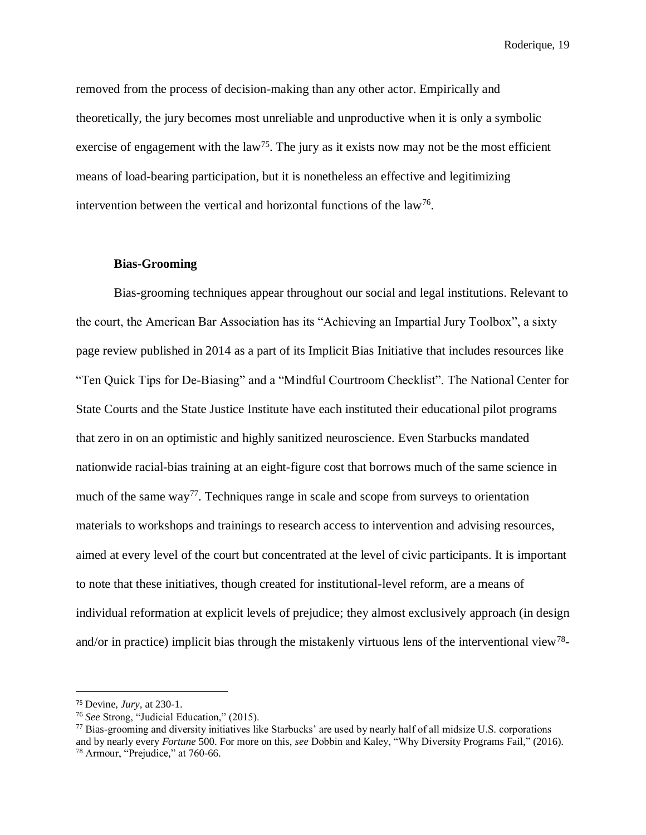removed from the process of decision-making than any other actor. Empirically and theoretically, the jury becomes most unreliable and unproductive when it is only a symbolic exercise of engagement with the  $law<sup>75</sup>$ . The jury as it exists now may not be the most efficient means of load-bearing participation, but it is nonetheless an effective and legitimizing intervention between the vertical and horizontal functions of the  $law^{76}$ .

#### **Bias-Grooming**

Bias-grooming techniques appear throughout our social and legal institutions. Relevant to the court, the American Bar Association has its "Achieving an Impartial Jury Toolbox", a sixty page review published in 2014 as a part of its Implicit Bias Initiative that includes resources like "Ten Quick Tips for De-Biasing" and a "Mindful Courtroom Checklist". The National Center for State Courts and the State Justice Institute have each instituted their educational pilot programs that zero in on an optimistic and highly sanitized neuroscience. Even Starbucks mandated nationwide racial-bias training at an eight-figure cost that borrows much of the same science in much of the same way<sup>77</sup>. Techniques range in scale and scope from surveys to orientation materials to workshops and trainings to research access to intervention and advising resources, aimed at every level of the court but concentrated at the level of civic participants. It is important to note that these initiatives, though created for institutional-level reform, are a means of individual reformation at explicit levels of prejudice; they almost exclusively approach (in design and/or in practice) implicit bias through the mistakenly virtuous lens of the interventional view<sup>78</sup>-

<sup>75</sup> Devine, *Jury,* at 230-1.

<sup>76</sup> *See* Strong, "Judicial Education," (2015).

<sup>77</sup> Bias-grooming and diversity initiatives like Starbucks' are used by nearly half of all midsize U.S. corporations and by nearly every *Fortune* 500. For more on this, *see* Dobbin and Kaley, "Why Diversity Programs Fail," (2016). <sup>78</sup> Armour, "Prejudice," at 760-66.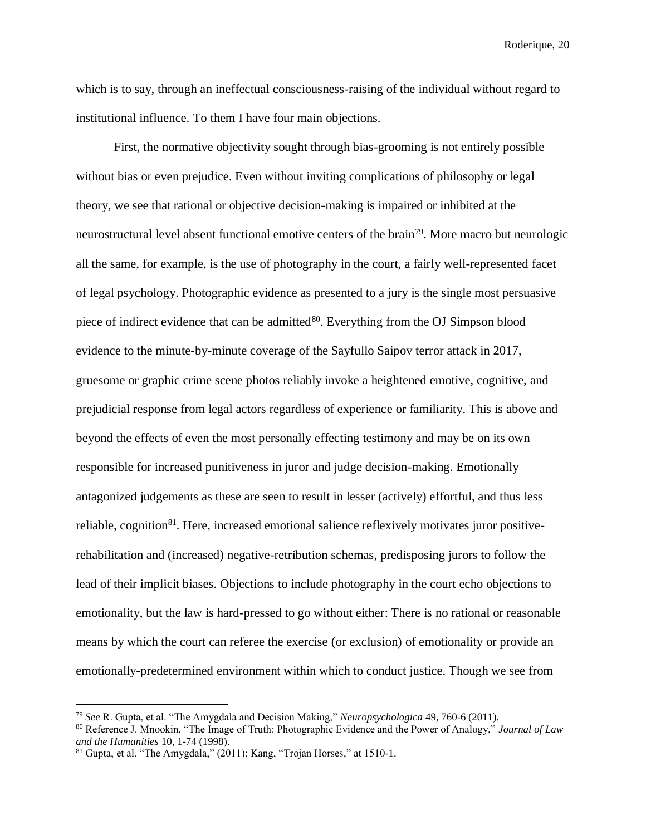which is to say, through an ineffectual consciousness-raising of the individual without regard to institutional influence. To them I have four main objections.

First, the normative objectivity sought through bias-grooming is not entirely possible without bias or even prejudice. Even without inviting complications of philosophy or legal theory, we see that rational or objective decision-making is impaired or inhibited at the neurostructural level absent functional emotive centers of the brain<sup>79</sup>. More macro but neurologic all the same, for example, is the use of photography in the court, a fairly well-represented facet of legal psychology. Photographic evidence as presented to a jury is the single most persuasive piece of indirect evidence that can be admitted<sup>80</sup>. Everything from the OJ Simpson blood evidence to the minute-by-minute coverage of the Sayfullo Saipov terror attack in 2017, gruesome or graphic crime scene photos reliably invoke a heightened emotive, cognitive, and prejudicial response from legal actors regardless of experience or familiarity. This is above and beyond the effects of even the most personally effecting testimony and may be on its own responsible for increased punitiveness in juror and judge decision-making. Emotionally antagonized judgements as these are seen to result in lesser (actively) effortful, and thus less reliable, cognition<sup>81</sup>. Here, increased emotional salience reflexively motivates juror positiverehabilitation and (increased) negative-retribution schemas, predisposing jurors to follow the lead of their implicit biases. Objections to include photography in the court echo objections to emotionality, but the law is hard-pressed to go without either: There is no rational or reasonable means by which the court can referee the exercise (or exclusion) of emotionality or provide an emotionally-predetermined environment within which to conduct justice. Though we see from

<sup>79</sup> *See* R. Gupta, et al. "The Amygdala and Decision Making," *Neuropsychologica* 49, 760-6 (2011).

<sup>80</sup> Reference J. Mnookin, "The Image of Truth: Photographic Evidence and the Power of Analogy," *Journal of Law and the Humanities* 10, 1-74 (1998).

<sup>81</sup> Gupta, et al. "The Amygdala," (2011); Kang, "Trojan Horses," at 1510-1.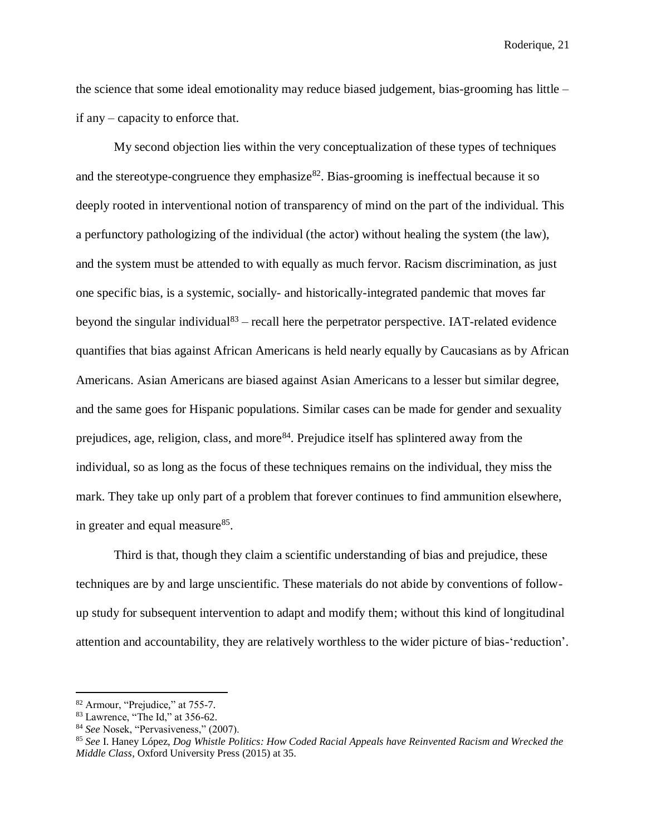the science that some ideal emotionality may reduce biased judgement, bias-grooming has little – if any – capacity to enforce that.

My second objection lies within the very conceptualization of these types of techniques and the stereotype-congruence they emphasize  $82$ . Bias-grooming is ineffectual because it so deeply rooted in interventional notion of transparency of mind on the part of the individual. This a perfunctory pathologizing of the individual (the actor) without healing the system (the law), and the system must be attended to with equally as much fervor. Racism discrimination, as just one specific bias, is a systemic, socially- and historically-integrated pandemic that moves far beyond the singular individual<sup>83</sup> – recall here the perpetrator perspective. IAT-related evidence quantifies that bias against African Americans is held nearly equally by Caucasians as by African Americans. Asian Americans are biased against Asian Americans to a lesser but similar degree, and the same goes for Hispanic populations. Similar cases can be made for gender and sexuality prejudices, age, religion, class, and more<sup>84</sup>. Prejudice itself has splintered away from the individual, so as long as the focus of these techniques remains on the individual, they miss the mark. They take up only part of a problem that forever continues to find ammunition elsewhere, in greater and equal measure<sup>85</sup>.

Third is that, though they claim a scientific understanding of bias and prejudice, these techniques are by and large unscientific. These materials do not abide by conventions of followup study for subsequent intervention to adapt and modify them; without this kind of longitudinal attention and accountability, they are relatively worthless to the wider picture of bias-'reduction'.

<sup>82</sup> Armour, "Prejudice," at 755-7.

<sup>83</sup> Lawrence, "The Id," at 356-62.

<sup>84</sup> *See* Nosek, "Pervasiveness," (2007).

<sup>85</sup> *See* I. Haney López, *Dog Whistle Politics: How Coded Racial Appeals have Reinvented Racism and Wrecked the Middle Class*, Oxford University Press (2015) at 35.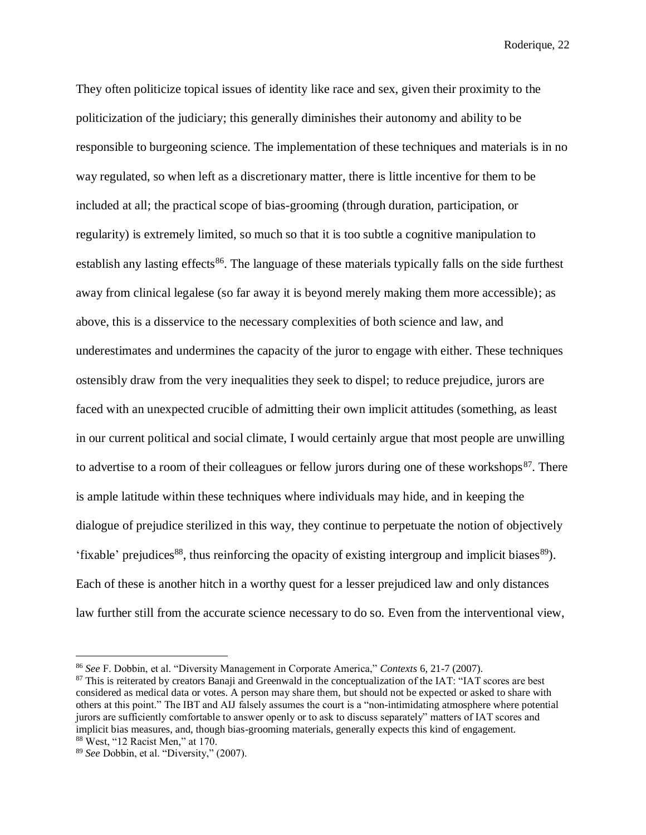They often politicize topical issues of identity like race and sex, given their proximity to the politicization of the judiciary; this generally diminishes their autonomy and ability to be responsible to burgeoning science. The implementation of these techniques and materials is in no way regulated, so when left as a discretionary matter, there is little incentive for them to be included at all; the practical scope of bias-grooming (through duration, participation, or regularity) is extremely limited, so much so that it is too subtle a cognitive manipulation to establish any lasting effects<sup>86</sup>. The language of these materials typically falls on the side furthest away from clinical legalese (so far away it is beyond merely making them more accessible); as above, this is a disservice to the necessary complexities of both science and law, and underestimates and undermines the capacity of the juror to engage with either. These techniques ostensibly draw from the very inequalities they seek to dispel; to reduce prejudice, jurors are faced with an unexpected crucible of admitting their own implicit attitudes (something, as least in our current political and social climate, I would certainly argue that most people are unwilling to advertise to a room of their colleagues or fellow jurors during one of these workshops $87$ . There is ample latitude within these techniques where individuals may hide, and in keeping the dialogue of prejudice sterilized in this way, they continue to perpetuate the notion of objectively 'fixable' prejudices<sup>88</sup>, thus reinforcing the opacity of existing intergroup and implicit biases<sup>89</sup>). Each of these is another hitch in a worthy quest for a lesser prejudiced law and only distances law further still from the accurate science necessary to do so. Even from the interventional view,

<sup>86</sup> *See* F. Dobbin, et al. "Diversity Management in Corporate America," *Contexts* 6, 21-7 (2007).

<sup>&</sup>lt;sup>87</sup> This is reiterated by creators Banaji and Greenwald in the conceptualization of the IAT: "IAT scores are best considered as medical data or votes. A person may share them, but should not be expected or asked to share with others at this point." The IBT and AIJ falsely assumes the court is a "non-intimidating atmosphere where potential jurors are sufficiently comfortable to answer openly or to ask to discuss separately" matters of IAT scores and implicit bias measures, and, though bias-grooming materials, generally expects this kind of engagement. <sup>88</sup> West, "12 Racist Men," at 170.

<sup>89</sup> *See* Dobbin, et al. "Diversity," (2007).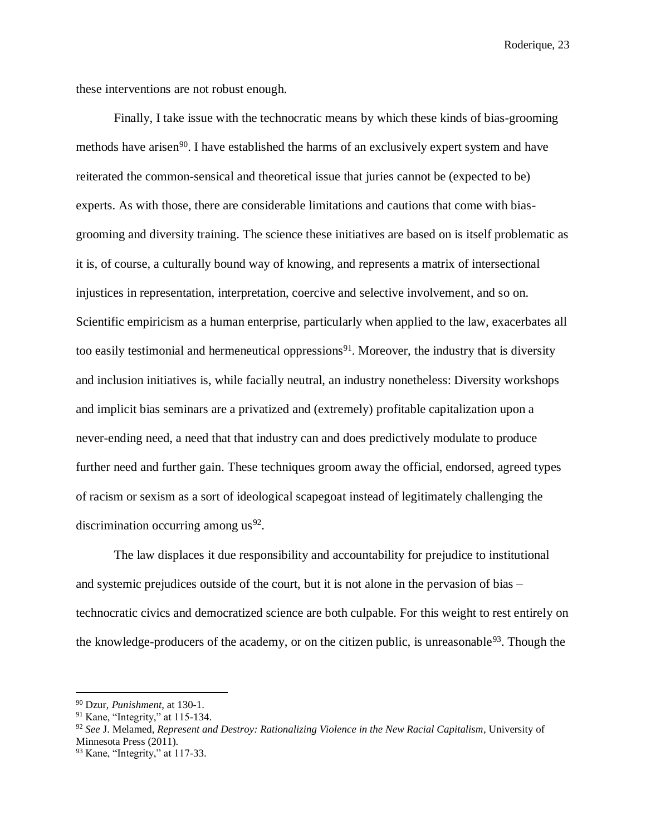these interventions are not robust enough.

Finally, I take issue with the technocratic means by which these kinds of bias-grooming methods have arisen<sup>90</sup>. I have established the harms of an exclusively expert system and have reiterated the common-sensical and theoretical issue that juries cannot be (expected to be) experts. As with those, there are considerable limitations and cautions that come with biasgrooming and diversity training. The science these initiatives are based on is itself problematic as it is, of course, a culturally bound way of knowing, and represents a matrix of intersectional injustices in representation, interpretation, coercive and selective involvement, and so on. Scientific empiricism as a human enterprise, particularly when applied to the law, exacerbates all too easily testimonial and hermeneutical oppressions<sup>91</sup>. Moreover, the industry that is diversity and inclusion initiatives is, while facially neutral, an industry nonetheless: Diversity workshops and implicit bias seminars are a privatized and (extremely) profitable capitalization upon a never-ending need, a need that that industry can and does predictively modulate to produce further need and further gain. These techniques groom away the official, endorsed, agreed types of racism or sexism as a sort of ideological scapegoat instead of legitimately challenging the discrimination occurring among  $us^{92}$ .

The law displaces it due responsibility and accountability for prejudice to institutional and systemic prejudices outside of the court, but it is not alone in the pervasion of bias – technocratic civics and democratized science are both culpable. For this weight to rest entirely on the knowledge-producers of the academy, or on the citizen public, is unreasonable<sup>93</sup>. Though the

<sup>90</sup> Dzur, *Punishment,* at 130-1.

<sup>91</sup> Kane, "Integrity," at 115-134.

<sup>92</sup> *See* J. Melamed, *Represent and Destroy: Rationalizing Violence in the New Racial Capitalism*, University of Minnesota Press (2011).

<sup>93</sup> Kane, "Integrity," at 117-33.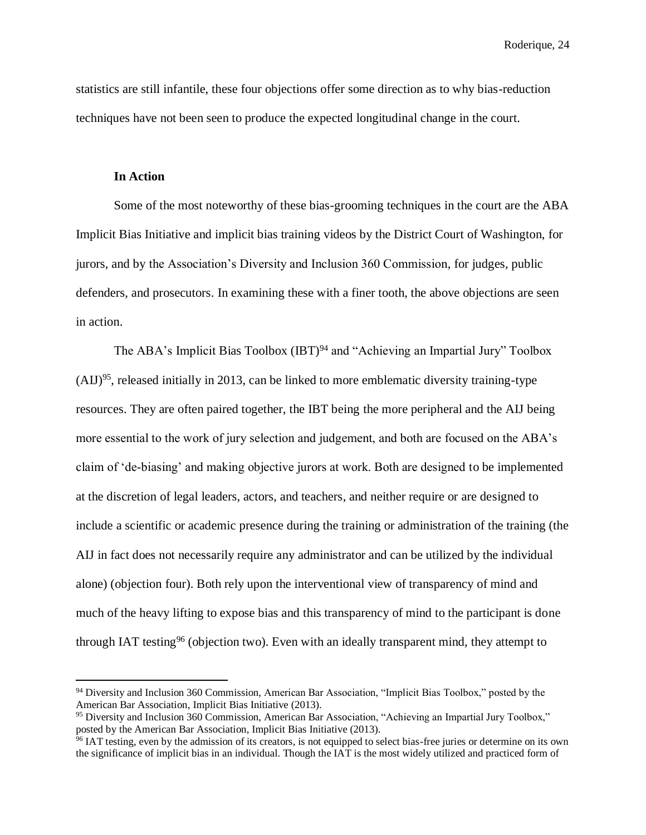statistics are still infantile, these four objections offer some direction as to why bias-reduction techniques have not been seen to produce the expected longitudinal change in the court.

#### **In Action**

 $\overline{a}$ 

Some of the most noteworthy of these bias-grooming techniques in the court are the ABA Implicit Bias Initiative and implicit bias training videos by the District Court of Washington, for jurors, and by the Association's Diversity and Inclusion 360 Commission, for judges, public defenders, and prosecutors. In examining these with a finer tooth, the above objections are seen in action.

The ABA's Implicit Bias Toolbox (IBT)<sup>94</sup> and "Achieving an Impartial Jury" Toolbox  $(AII)^{95}$ , released initially in 2013, can be linked to more emblematic diversity training-type resources. They are often paired together, the IBT being the more peripheral and the AIJ being more essential to the work of jury selection and judgement, and both are focused on the ABA's claim of 'de-biasing' and making objective jurors at work. Both are designed to be implemented at the discretion of legal leaders, actors, and teachers, and neither require or are designed to include a scientific or academic presence during the training or administration of the training (the AIJ in fact does not necessarily require any administrator and can be utilized by the individual alone) (objection four). Both rely upon the interventional view of transparency of mind and much of the heavy lifting to expose bias and this transparency of mind to the participant is done through IAT testing<sup>96</sup> (objection two). Even with an ideally transparent mind, they attempt to

<sup>94</sup> Diversity and Inclusion 360 Commission, American Bar Association, "Implicit Bias Toolbox," posted by the American Bar Association, Implicit Bias Initiative (2013).

<sup>95</sup> Diversity and Inclusion 360 Commission, American Bar Association, "Achieving an Impartial Jury Toolbox," posted by the American Bar Association, Implicit Bias Initiative (2013).

<sup>&</sup>lt;sup>96</sup> IAT testing, even by the admission of its creators, is not equipped to select bias-free juries or determine on its own the significance of implicit bias in an individual. Though the IAT is the most widely utilized and practiced form of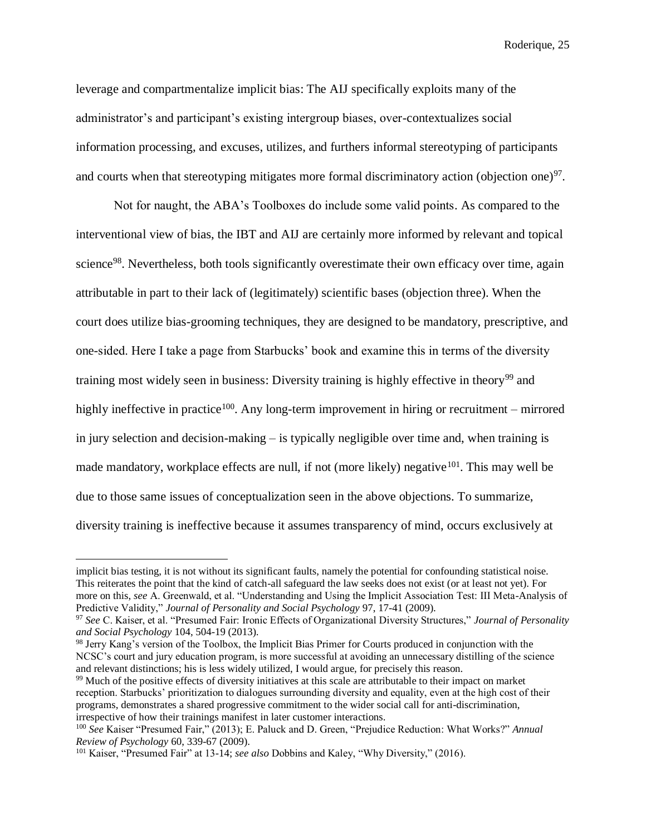leverage and compartmentalize implicit bias: The AIJ specifically exploits many of the administrator's and participant's existing intergroup biases, over-contextualizes social information processing, and excuses, utilizes, and furthers informal stereotyping of participants and courts when that stereotyping mitigates more formal discriminatory action (objection one) $97$ .

Not for naught, the ABA's Toolboxes do include some valid points. As compared to the interventional view of bias, the IBT and AIJ are certainly more informed by relevant and topical science<sup>98</sup>. Nevertheless, both tools significantly overestimate their own efficacy over time, again attributable in part to their lack of (legitimately) scientific bases (objection three). When the court does utilize bias-grooming techniques, they are designed to be mandatory, prescriptive, and one-sided. Here I take a page from Starbucks' book and examine this in terms of the diversity training most widely seen in business: Diversity training is highly effective in theory<sup>99</sup> and highly ineffective in practice<sup>100</sup>. Any long-term improvement in hiring or recruitment – mirrored in jury selection and decision-making – is typically negligible over time and, when training is made mandatory, workplace effects are null, if not (more likely) negative<sup>101</sup>. This may well be due to those same issues of conceptualization seen in the above objections. To summarize, diversity training is ineffective because it assumes transparency of mind, occurs exclusively at

implicit bias testing, it is not without its significant faults, namely the potential for confounding statistical noise. This reiterates the point that the kind of catch-all safeguard the law seeks does not exist (or at least not yet). For more on this, *see* A. Greenwald, et al. "Understanding and Using the Implicit Association Test: III Meta-Analysis of Predictive Validity," *Journal of Personality and Social Psychology* 97, 17-41 (2009).

<sup>97</sup> *See* C. Kaiser, et al. "Presumed Fair: Ironic Effects of Organizational Diversity Structures," *Journal of Personality and Social Psychology* 104, 504-19 (2013).

<sup>&</sup>lt;sup>98</sup> Jerry Kang's version of the Toolbox, the Implicit Bias Primer for Courts produced in conjunction with the NCSC's court and jury education program, is more successful at avoiding an unnecessary distilling of the science and relevant distinctions; his is less widely utilized, I would argue, for precisely this reason.

<sup>&</sup>lt;sup>99</sup> Much of the positive effects of diversity initiatives at this scale are attributable to their impact on market reception. Starbucks' prioritization to dialogues surrounding diversity and equality, even at the high cost of their programs, demonstrates a shared progressive commitment to the wider social call for anti-discrimination, irrespective of how their trainings manifest in later customer interactions.

<sup>100</sup> *See* Kaiser "Presumed Fair," (2013); E. Paluck and D. Green, "Prejudice Reduction: What Works?" *Annual Review of Psychology* 60, 339-67 (2009).

<sup>101</sup> Kaiser, "Presumed Fair" at 13-14; *see also* Dobbins and Kaley, "Why Diversity," (2016).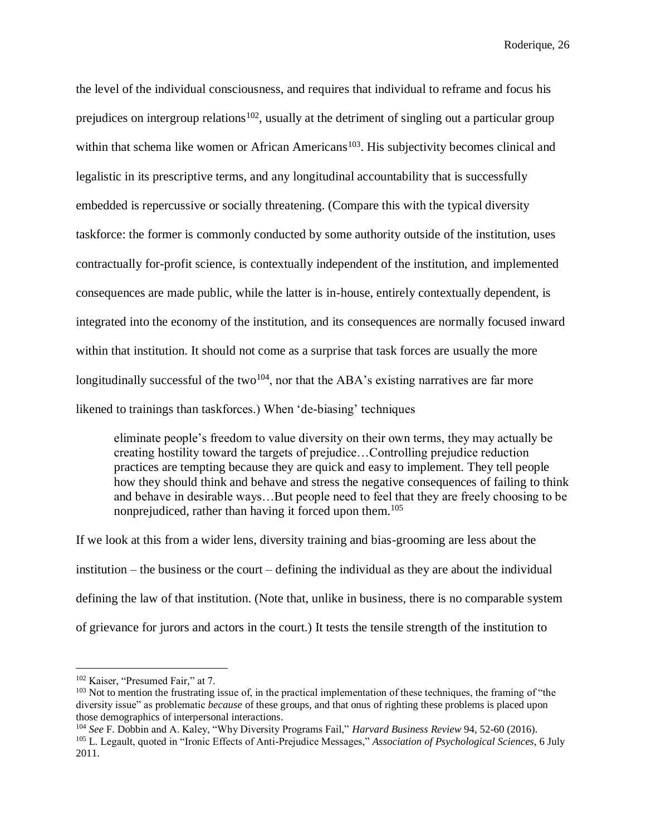the level of the individual consciousness, and requires that individual to reframe and focus his prejudices on intergroup relations<sup>102</sup>, usually at the detriment of singling out a particular group within that schema like women or African Americans<sup>103</sup>. His subjectivity becomes clinical and legalistic in its prescriptive terms, and any longitudinal accountability that is successfully embedded is repercussive or socially threatening. (Compare this with the typical diversity taskforce: the former is commonly conducted by some authority outside of the institution, uses contractually for-profit science, is contextually independent of the institution, and implemented consequences are made public, while the latter is in-house, entirely contextually dependent, is integrated into the economy of the institution, and its consequences are normally focused inward within that institution. It should not come as a surprise that task forces are usually the more longitudinally successful of the two<sup>104</sup>, nor that the ABA's existing narratives are far more likened to trainings than taskforces.) When 'de-biasing' techniques

eliminate people's freedom to value diversity on their own terms, they may actually be creating hostility toward the targets of prejudice…Controlling prejudice reduction practices are tempting because they are quick and easy to implement. They tell people how they should think and behave and stress the negative consequences of failing to think and behave in desirable ways…But people need to feel that they are freely choosing to be nonprejudiced, rather than having it forced upon them.<sup>105</sup>

If we look at this from a wider lens, diversity training and bias-grooming are less about the institution – the business or the court – defining the individual as they are about the individual defining the law of that institution. (Note that, unlike in business, there is no comparable system of grievance for jurors and actors in the court.) It tests the tensile strength of the institution to

<sup>102</sup> Kaiser, "Presumed Fair," at 7.

<sup>&</sup>lt;sup>103</sup> Not to mention the frustrating issue of, in the practical implementation of these techniques, the framing of "the diversity issue" as problematic *because* of these groups, and that onus of righting these problems is placed upon those demographics of interpersonal interactions.

<sup>104</sup> *See* F. Dobbin and A. Kaley, "Why Diversity Programs Fail," *Harvard Business Review* 94, 52-60 (2016). <sup>105</sup> L. Legault, quoted in "Ironic Effects of Anti-Prejudice Messages," *Association of Psychological Sciences,* 6 July 2011.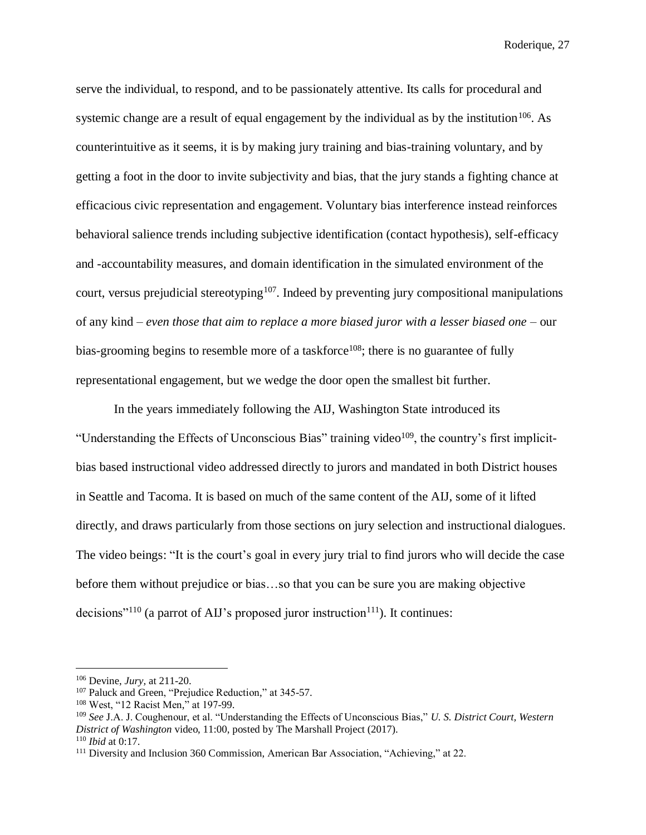serve the individual, to respond, and to be passionately attentive. Its calls for procedural and systemic change are a result of equal engagement by the individual as by the institution<sup>106</sup>. As counterintuitive as it seems, it is by making jury training and bias-training voluntary, and by getting a foot in the door to invite subjectivity and bias, that the jury stands a fighting chance at efficacious civic representation and engagement. Voluntary bias interference instead reinforces behavioral salience trends including subjective identification (contact hypothesis), self-efficacy and -accountability measures, and domain identification in the simulated environment of the court, versus prejudicial stereotyping<sup>107</sup>. Indeed by preventing jury compositional manipulations of any kind – *even those that aim to replace a more biased juror with a lesser biased one* – our bias-grooming begins to resemble more of a taskforce<sup>108</sup>; there is no guarantee of fully representational engagement, but we wedge the door open the smallest bit further.

In the years immediately following the AIJ, Washington State introduced its "Understanding the Effects of Unconscious Bias" training video<sup>109</sup>, the country's first implicitbias based instructional video addressed directly to jurors and mandated in both District houses in Seattle and Tacoma. It is based on much of the same content of the AIJ, some of it lifted directly, and draws particularly from those sections on jury selection and instructional dialogues. The video beings: "It is the court's goal in every jury trial to find jurors who will decide the case before them without prejudice or bias…so that you can be sure you are making objective decisions"<sup>110</sup> (a parrot of AIJ's proposed juror instruction<sup>111</sup>). It continues:

<sup>110</sup> *Ibid* at 0:17.

<sup>106</sup> Devine, *Jury,* at 211-20.

<sup>107</sup> Paluck and Green, "Prejudice Reduction," at 345-57.

<sup>108</sup> West, "12 Racist Men," at 197-99.

<sup>109</sup> *See* J.A. J. Coughenour, et al. "Understanding the Effects of Unconscious Bias," *U. S. District Court, Western District of Washington* video, 11:00, posted by The Marshall Project (2017).

<sup>111</sup> Diversity and Inclusion 360 Commission, American Bar Association, "Achieving," at 22.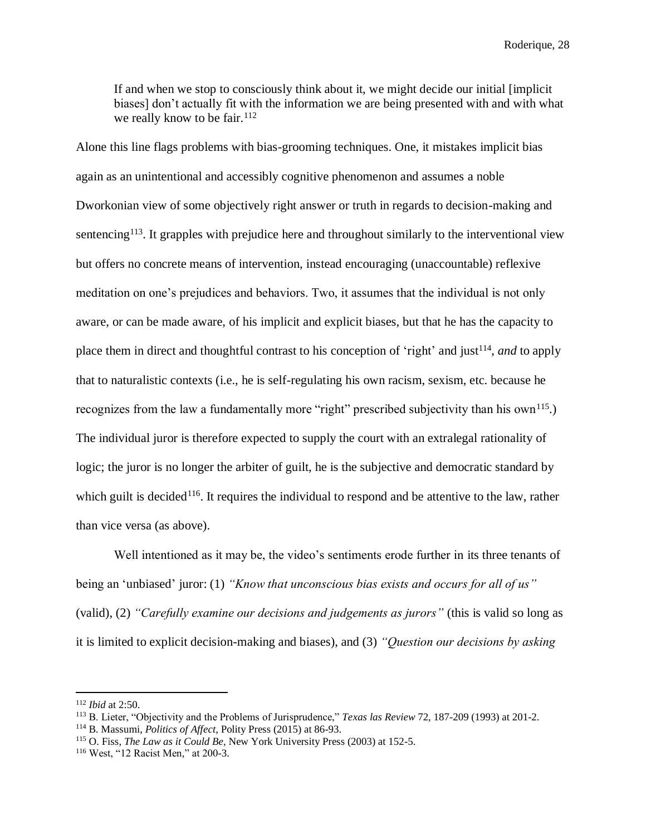If and when we stop to consciously think about it, we might decide our initial [implicit biases] don't actually fit with the information we are being presented with and with what we really know to be fair.<sup>112</sup>

Alone this line flags problems with bias-grooming techniques. One, it mistakes implicit bias again as an unintentional and accessibly cognitive phenomenon and assumes a noble Dworkonian view of some objectively right answer or truth in regards to decision-making and sentencing<sup>113</sup>. It grapples with prejudice here and throughout similarly to the interventional view but offers no concrete means of intervention, instead encouraging (unaccountable) reflexive meditation on one's prejudices and behaviors. Two, it assumes that the individual is not only aware, or can be made aware, of his implicit and explicit biases, but that he has the capacity to place them in direct and thoughtful contrast to his conception of 'right' and just<sup>114</sup>, and to apply that to naturalistic contexts (i.e., he is self-regulating his own racism, sexism, etc. because he recognizes from the law a fundamentally more "right" prescribed subjectivity than his own<sup>115</sup>.) The individual juror is therefore expected to supply the court with an extralegal rationality of logic; the juror is no longer the arbiter of guilt, he is the subjective and democratic standard by which guilt is decided<sup>116</sup>. It requires the individual to respond and be attentive to the law, rather than vice versa (as above).

Well intentioned as it may be, the video's sentiments erode further in its three tenants of being an 'unbiased' juror: (1) *"Know that unconscious bias exists and occurs for all of us"*  (valid), (2) *"Carefully examine our decisions and judgements as jurors"* (this is valid so long as it is limited to explicit decision-making and biases), and (3) *"Question our decisions by asking* 

<sup>112</sup> *Ibid* at 2:50.

<sup>113</sup> B. Lieter, "Objectivity and the Problems of Jurisprudence," *Texas las Review* 72, 187-209 (1993) at 201-2.

<sup>114</sup> B. Massumi, *Politics of Affect,* Polity Press (2015) at 86-93.

<sup>115</sup> O. Fiss, *The Law as it Could Be,* New York University Press (2003) at 152-5.

<sup>116</sup> West, "12 Racist Men," at 200-3.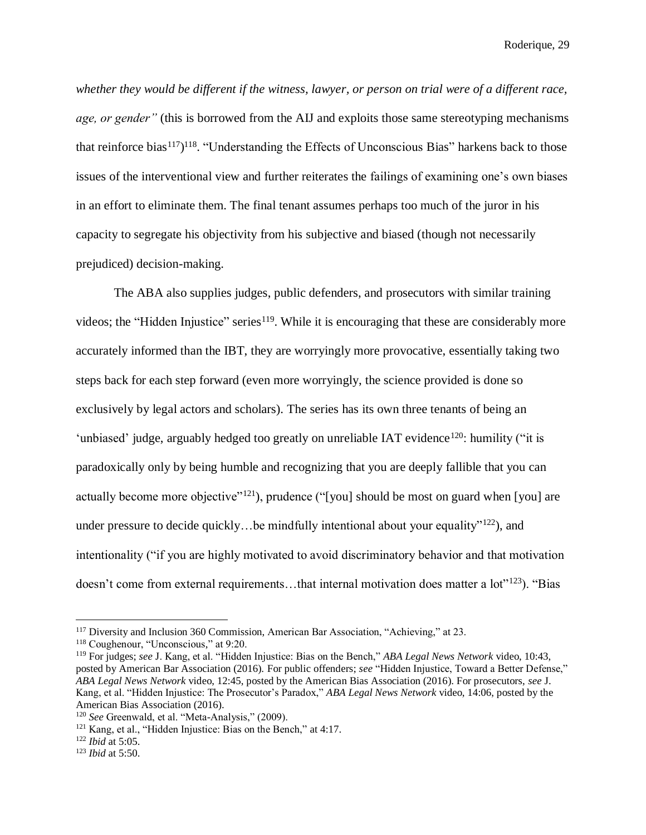*whether they would be different if the witness, lawyer, or person on trial were of a different race, age, or gender"* (this is borrowed from the AIJ and exploits those same stereotyping mechanisms that reinforce bias<sup>117</sup>)<sup>118</sup>. "Understanding the Effects of Unconscious Bias" harkens back to those issues of the interventional view and further reiterates the failings of examining one's own biases in an effort to eliminate them. The final tenant assumes perhaps too much of the juror in his capacity to segregate his objectivity from his subjective and biased (though not necessarily prejudiced) decision-making.

The ABA also supplies judges, public defenders, and prosecutors with similar training videos; the "Hidden Injustice" series<sup>119</sup>. While it is encouraging that these are considerably more accurately informed than the IBT, they are worryingly more provocative, essentially taking two steps back for each step forward (even more worryingly, the science provided is done so exclusively by legal actors and scholars). The series has its own three tenants of being an 'unbiased' judge, arguably hedged too greatly on unreliable IAT evidence<sup>120</sup>: humility ("it is paradoxically only by being humble and recognizing that you are deeply fallible that you can actually become more objective"<sup>121</sup>), prudence ("[you] should be most on guard when [you] are under pressure to decide quickly... be mindfully intentional about your equality"<sup>122</sup>), and intentionality ("if you are highly motivated to avoid discriminatory behavior and that motivation doesn't come from external requirements...that internal motivation does matter a lot"<sup>123</sup>). "Bias

<sup>117</sup> Diversity and Inclusion 360 Commission, American Bar Association, "Achieving," at 23.

<sup>118</sup> Coughenour, "Unconscious," at 9:20.

<sup>119</sup> For judges; *see* J. Kang, et al. "Hidden Injustice: Bias on the Bench," *ABA Legal News Network* video, 10:43, posted by American Bar Association (2016). For public offenders; *see* "Hidden Injustice, Toward a Better Defense," *ABA Legal News Network* video, 12:45, posted by the American Bias Association (2016). For prosecutors, *see* J. Kang, et al. "Hidden Injustice: The Prosecutor's Paradox," *ABA Legal News Network* video, 14:06, posted by the American Bias Association (2016).

<sup>120</sup> *See* Greenwald, et al. "Meta-Analysis," (2009).

<sup>121</sup> Kang, et al., "Hidden Injustice: Bias on the Bench," at 4:17.

<sup>122</sup> *Ibid* at 5:05.

<sup>123</sup> *Ibid* at 5:50.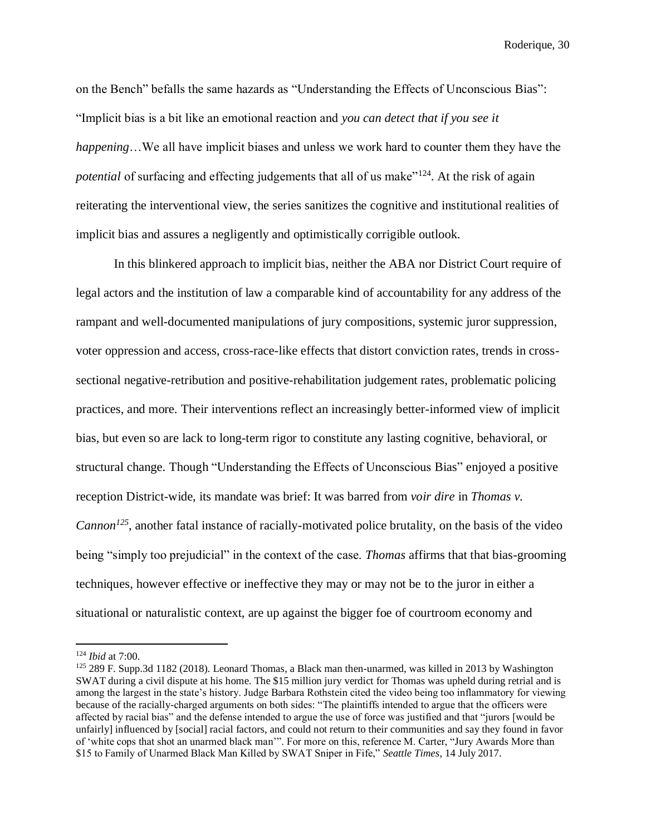on the Bench" befalls the same hazards as "Understanding the Effects of Unconscious Bias": "Implicit bias is a bit like an emotional reaction and *you can detect that if you see it happening*…We all have implicit biases and unless we work hard to counter them they have the *potential* of surfacing and effecting judgements that all of us make<sup>"124</sup>. At the risk of again reiterating the interventional view, the series sanitizes the cognitive and institutional realities of implicit bias and assures a negligently and optimistically corrigible outlook.

In this blinkered approach to implicit bias, neither the ABA nor District Court require of legal actors and the institution of law a comparable kind of accountability for any address of the rampant and well-documented manipulations of jury compositions, systemic juror suppression, voter oppression and access, cross-race-like effects that distort conviction rates, trends in crosssectional negative-retribution and positive-rehabilitation judgement rates, problematic policing practices, and more. Their interventions reflect an increasingly better-informed view of implicit bias, but even so are lack to long-term rigor to constitute any lasting cognitive, behavioral, or structural change. Though "Understanding the Effects of Unconscious Bias" enjoyed a positive reception District-wide, its mandate was brief: It was barred from *voir dire* in *Thomas v. Cannon<sup>125</sup>*, another fatal instance of racially-motivated police brutality, on the basis of the video being "simply too prejudicial" in the context of the case. *Thomas* affirms that that bias-grooming techniques, however effective or ineffective they may or may not be to the juror in either a situational or naturalistic context, are up against the bigger foe of courtroom economy and

<sup>124</sup> *Ibid* at 7:00.

<sup>125</sup> 289 F. Supp.3d 1182 (2018). Leonard Thomas, a Black man then-unarmed, was killed in 2013 by Washington SWAT during a civil dispute at his home. The \$15 million jury verdict for Thomas was upheld during retrial and is among the largest in the state's history. Judge Barbara Rothstein cited the video being too inflammatory for viewing because of the racially-charged arguments on both sides: "The plaintiffs intended to argue that the officers were affected by racial bias" and the defense intended to argue the use of force was justified and that "jurors [would be unfairly] influenced by [social] racial factors, and could not return to their communities and say they found in favor of 'white cops that shot an unarmed black man'". For more on this, reference M. Carter, "Jury Awards More than \$15 to Family of Unarmed Black Man Killed by SWAT Sniper in Fife," *Seattle Times*, 14 July 2017.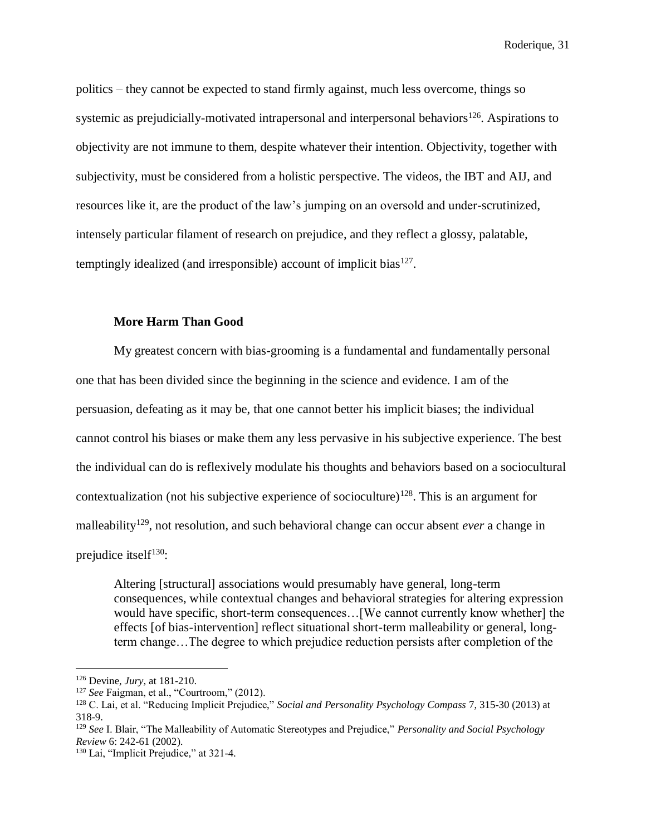politics – they cannot be expected to stand firmly against, much less overcome, things so systemic as prejudicially-motivated intrapersonal and interpersonal behaviors<sup>126</sup>. Aspirations to objectivity are not immune to them, despite whatever their intention. Objectivity, together with subjectivity, must be considered from a holistic perspective. The videos, the IBT and AIJ, and resources like it, are the product of the law's jumping on an oversold and under-scrutinized, intensely particular filament of research on prejudice, and they reflect a glossy, palatable, temptingly idealized (and irresponsible) account of implicit bias $^{127}$ .

#### **More Harm Than Good**

My greatest concern with bias-grooming is a fundamental and fundamentally personal one that has been divided since the beginning in the science and evidence. I am of the persuasion, defeating as it may be, that one cannot better his implicit biases; the individual cannot control his biases or make them any less pervasive in his subjective experience. The best the individual can do is reflexively modulate his thoughts and behaviors based on a sociocultural contextualization (not his subjective experience of socioculture)<sup>128</sup>. This is an argument for malleability<sup>129</sup>, not resolution, and such behavioral change can occur absent *ever* a change in prejudice itsel $f^{130}$ :

Altering [structural] associations would presumably have general, long-term consequences, while contextual changes and behavioral strategies for altering expression would have specific, short-term consequences…[We cannot currently know whether] the effects [of bias-intervention] reflect situational short-term malleability or general, longterm change…The degree to which prejudice reduction persists after completion of the

<sup>126</sup> Devine, *Jury,* at 181-210.

<sup>127</sup> *See* Faigman, et al., "Courtroom," (2012).

<sup>128</sup> C. Lai, et al. "Reducing Implicit Prejudice," *Social and Personality Psychology Compass* 7, 315-30 (2013) at 318-9.

<sup>129</sup> *See* I. Blair, "The Malleability of Automatic Stereotypes and Prejudice," *Personality and Social Psychology Review* 6: 242-61 (2002).

<sup>130</sup> Lai, "Implicit Prejudice," at 321-4.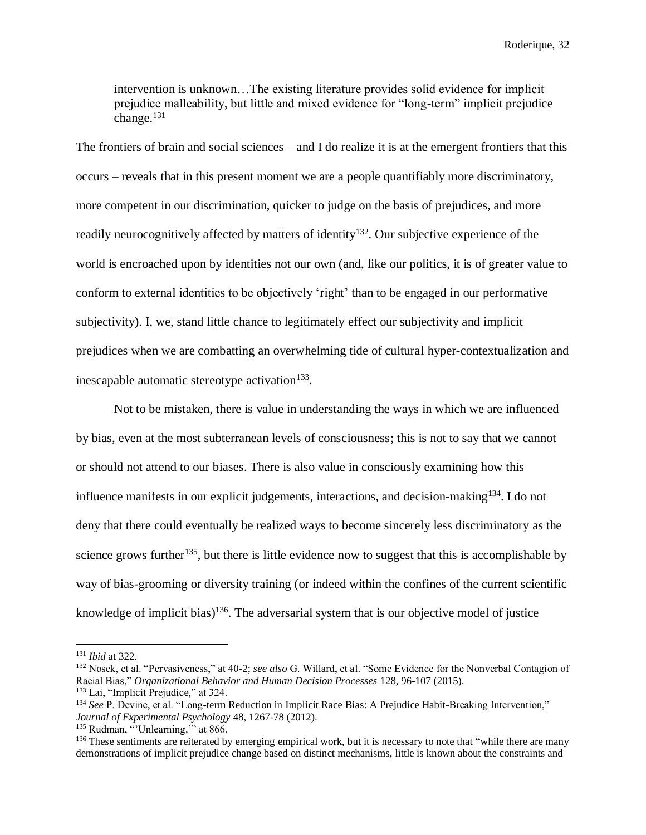intervention is unknown…The existing literature provides solid evidence for implicit prejudice malleability, but little and mixed evidence for "long-term" implicit prejudice change. 131

The frontiers of brain and social sciences – and I do realize it is at the emergent frontiers that this occurs – reveals that in this present moment we are a people quantifiably more discriminatory, more competent in our discrimination, quicker to judge on the basis of prejudices, and more readily neurocognitively affected by matters of identity<sup>132</sup>. Our subjective experience of the world is encroached upon by identities not our own (and, like our politics, it is of greater value to conform to external identities to be objectively 'right' than to be engaged in our performative subjectivity). I, we, stand little chance to legitimately effect our subjectivity and implicit prejudices when we are combatting an overwhelming tide of cultural hyper-contextualization and inescapable automatic stereotype activation $133$ .

Not to be mistaken, there is value in understanding the ways in which we are influenced by bias, even at the most subterranean levels of consciousness; this is not to say that we cannot or should not attend to our biases. There is also value in consciously examining how this influence manifests in our explicit judgements, interactions, and decision-making<sup>134</sup>. I do not deny that there could eventually be realized ways to become sincerely less discriminatory as the science grows further<sup>135</sup>, but there is little evidence now to suggest that this is accomplishable by way of bias-grooming or diversity training (or indeed within the confines of the current scientific knowledge of implicit bias)<sup>136</sup>. The adversarial system that is our objective model of justice

<sup>131</sup> *Ibid* at 322.

<sup>132</sup> Nosek, et al. "Pervasiveness," at 40-2; *see also* G. Willard, et al. "Some Evidence for the Nonverbal Contagion of Racial Bias," *Organizational Behavior and Human Decision Processes* 128, 96-107 (2015).

<sup>133</sup> Lai, "Implicit Prejudice," at 324.

<sup>134</sup> *See* P. Devine, et al. "Long-term Reduction in Implicit Race Bias: A Prejudice Habit-Breaking Intervention," *Journal of Experimental Psychology* 48, 1267-78 (2012).

<sup>&</sup>lt;sup>135</sup> Rudman, "Unlearning," at 866.

<sup>&</sup>lt;sup>136</sup> These sentiments are reiterated by emerging empirical work, but it is necessary to note that "while there are many demonstrations of implicit prejudice change based on distinct mechanisms, little is known about the constraints and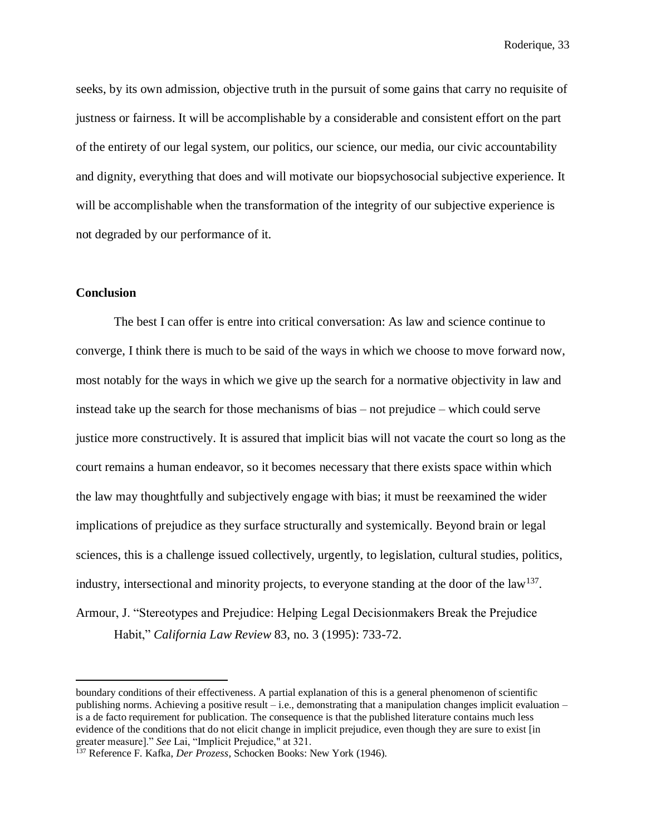seeks, by its own admission, objective truth in the pursuit of some gains that carry no requisite of justness or fairness. It will be accomplishable by a considerable and consistent effort on the part of the entirety of our legal system, our politics, our science, our media, our civic accountability and dignity, everything that does and will motivate our biopsychosocial subjective experience. It will be accomplishable when the transformation of the integrity of our subjective experience is not degraded by our performance of it.

#### **Conclusion**

 $\overline{a}$ 

The best I can offer is entre into critical conversation: As law and science continue to converge, I think there is much to be said of the ways in which we choose to move forward now, most notably for the ways in which we give up the search for a normative objectivity in law and instead take up the search for those mechanisms of bias – not prejudice – which could serve justice more constructively. It is assured that implicit bias will not vacate the court so long as the court remains a human endeavor, so it becomes necessary that there exists space within which the law may thoughtfully and subjectively engage with bias; it must be reexamined the wider implications of prejudice as they surface structurally and systemically. Beyond brain or legal sciences, this is a challenge issued collectively, urgently, to legislation, cultural studies, politics, industry, intersectional and minority projects, to everyone standing at the door of the law<sup>137</sup>. Armour, J. "Stereotypes and Prejudice: Helping Legal Decisionmakers Break the Prejudice Habit," *California Law Review* 83, no. 3 (1995): 733-72.

boundary conditions of their effectiveness. A partial explanation of this is a general phenomenon of scientific publishing norms. Achieving a positive result – i.e., demonstrating that a manipulation changes implicit evaluation – is a de facto requirement for publication. The consequence is that the published literature contains much less evidence of the conditions that do not elicit change in implicit prejudice, even though they are sure to exist [in greater measure]." *See* Lai, "Implicit Prejudice," at 321.

<sup>137</sup> Reference F. Kafka, *Der Prozess*, Schocken Books: New York (1946).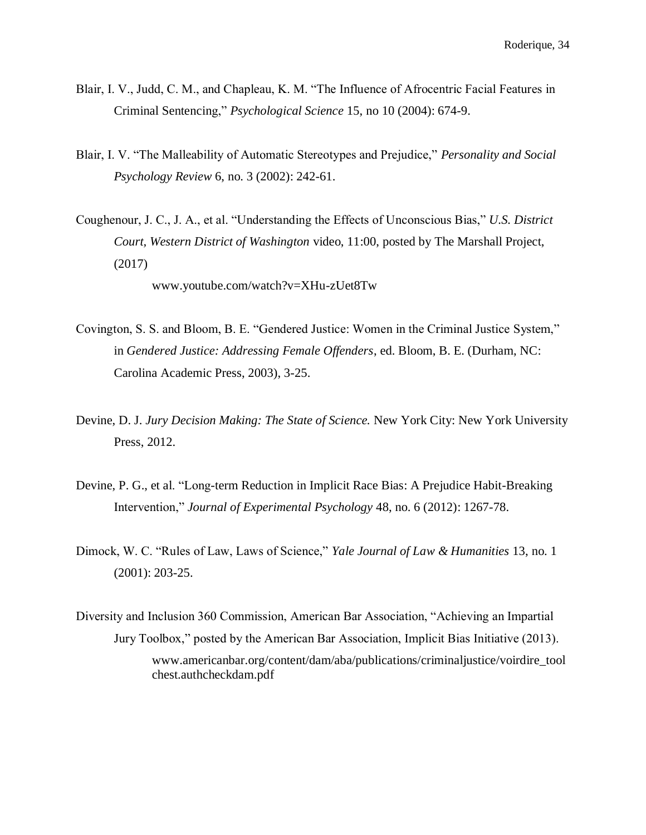- Blair, I. V., Judd, C. M., and Chapleau, K. M. "The Influence of Afrocentric Facial Features in Criminal Sentencing," *Psychological Science* 15, no 10 (2004): 674-9.
- Blair, I. V. "The Malleability of Automatic Stereotypes and Prejudice," *Personality and Social Psychology Review* 6, no. 3 (2002): 242-61.
- Coughenour, J. C., J. A., et al. "Understanding the Effects of Unconscious Bias," *U.S. District Court, Western District of Washington* video, 11:00, posted by The Marshall Project, (2017)

www.youtube.com/watch?v=XHu-zUet8Tw

- Covington, S. S. and Bloom, B. E. "Gendered Justice: Women in the Criminal Justice System," in *Gendered Justice: Addressing Female Offenders*, ed. Bloom, B. E. (Durham, NC: Carolina Academic Press, 2003), 3-25.
- Devine, D. J. *Jury Decision Making: The State of Science.* New York City: New York University Press, 2012.
- Devine, P. G., et al. "Long-term Reduction in Implicit Race Bias: A Prejudice Habit-Breaking Intervention," *Journal of Experimental Psychology* 48, no. 6 (2012): 1267-78.
- Dimock, W. C. "Rules of Law, Laws of Science," *Yale Journal of Law & Humanities* 13, no. 1 (2001): 203-25.
- Diversity and Inclusion 360 Commission, American Bar Association, "Achieving an Impartial Jury Toolbox," posted by the American Bar Association, Implicit Bias Initiative (2013). www.americanbar.org/content/dam/aba/publications/criminaljustice/voirdire\_tool chest.authcheckdam.pdf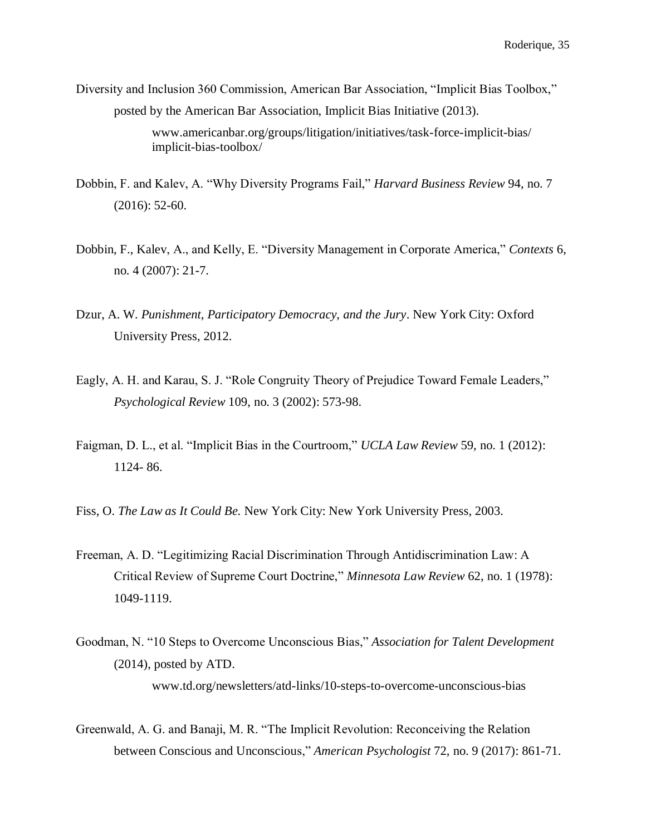- Diversity and Inclusion 360 Commission, American Bar Association, "Implicit Bias Toolbox," posted by the American Bar Association, Implicit Bias Initiative (2013). www.americanbar.org/groups/litigation/initiatives/task-force-implicit-bias/ implicit-bias-toolbox/
- Dobbin, F. and Kalev, A. "Why Diversity Programs Fail," *Harvard Business Review* 94, no. 7 (2016): 52-60.
- Dobbin, F., Kalev, A., and Kelly, E. "Diversity Management in Corporate America," *Contexts* 6, no. 4 (2007): 21-7.
- Dzur, A. W*. Punishment, Participatory Democracy, and the Jury*. New York City: Oxford University Press, 2012.
- Eagly, A. H. and Karau, S. J. "Role Congruity Theory of Prejudice Toward Female Leaders," *Psychological Review* 109, no. 3 (2002): 573-98.
- Faigman, D. L., et al. "Implicit Bias in the Courtroom," *UCLA Law Review* 59, no. 1 (2012): 1124- 86.
- Fiss, O. *The Law as It Could Be.* New York City: New York University Press, 2003.
- Freeman, A. D. "Legitimizing Racial Discrimination Through Antidiscrimination Law: A Critical Review of Supreme Court Doctrine," *Minnesota Law Review* 62, no. 1 (1978): 1049-1119.
- Goodman, N. "10 Steps to Overcome Unconscious Bias," *Association for Talent Development*  (2014), posted by ATD. www.td.org/newsletters/atd-links/10-steps-to-overcome-unconscious-bias
- Greenwald, A. G. and Banaji, M. R. "The Implicit Revolution: Reconceiving the Relation between Conscious and Unconscious," *American Psychologist* 72, no. 9 (2017): 861-71.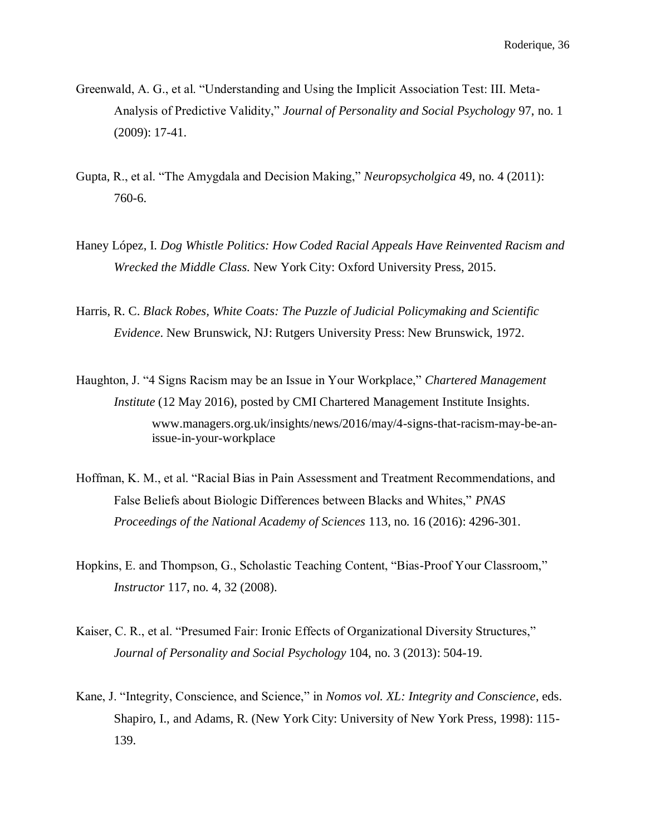- Greenwald, A. G., et al. "Understanding and Using the Implicit Association Test: III. Meta-Analysis of Predictive Validity," *Journal of Personality and Social Psychology* 97, no. 1 (2009): 17-41.
- Gupta, R., et al. "The Amygdala and Decision Making," *Neuropsycholgica* 49, no. 4 (2011): 760-6.
- Haney López, I. *Dog Whistle Politics: How Coded Racial Appeals Have Reinvented Racism and Wrecked the Middle Class.* New York City: Oxford University Press, 2015.
- Harris, R. C. *Black Robes, White Coats: The Puzzle of Judicial Policymaking and Scientific Evidence*. New Brunswick, NJ: Rutgers University Press: New Brunswick, 1972.
- Haughton, J. "4 Signs Racism may be an Issue in Your Workplace," *Chartered Management Institute* (12 May 2016), posted by CMI Chartered Management Institute Insights. www.managers.org.uk/insights/news/2016/may/4-signs-that-racism-may-be-anissue-in-your-workplace
- Hoffman, K. M., et al. "Racial Bias in Pain Assessment and Treatment Recommendations, and False Beliefs about Biologic Differences between Blacks and Whites," *PNAS Proceedings of the National Academy of Sciences* 113, no. 16 (2016): 4296-301.
- Hopkins, E. and Thompson, G., Scholastic Teaching Content, "Bias-Proof Your Classroom," *Instructor* 117, no. 4, 32 (2008).
- Kaiser, C. R., et al. "Presumed Fair: Ironic Effects of Organizational Diversity Structures," *Journal of Personality and Social Psychology* 104, no. 3 (2013): 504-19.
- Kane, J. "Integrity, Conscience, and Science," in *Nomos vol. XL: Integrity and Conscience*, eds. Shapiro, I., and Adams, R. (New York City: University of New York Press, 1998): 115- 139.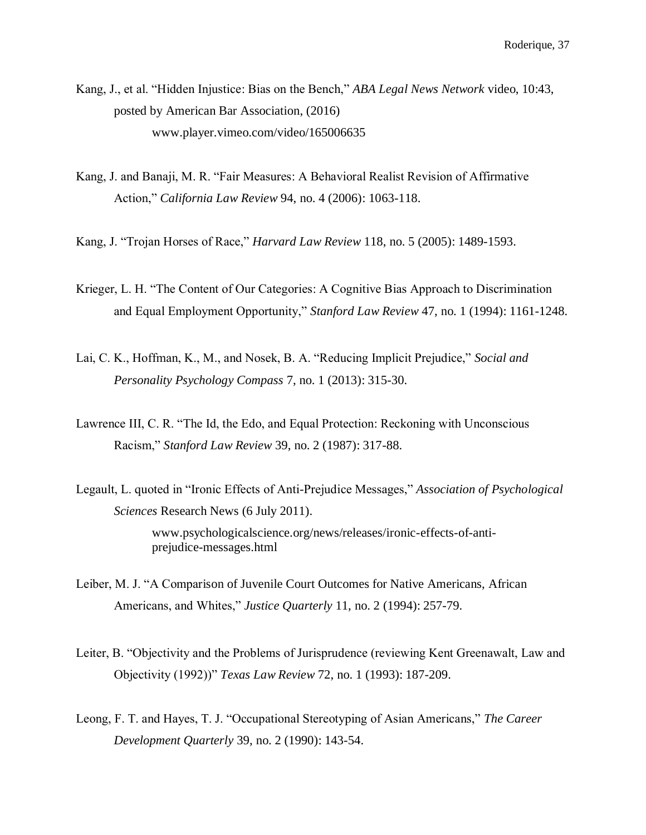Kang, J., et al. "Hidden Injustice: Bias on the Bench," *ABA Legal News Network* video, 10:43, posted by American Bar Association, (2016) www.player.vimeo.com/video/165006635

- Kang, J. and Banaji, M. R. "Fair Measures: A Behavioral Realist Revision of Affirmative Action," *California Law Review* 94, no. 4 (2006): 1063-118.
- Kang, J. "Trojan Horses of Race," *Harvard Law Review* 118, no. 5 (2005): 1489-1593.
- Krieger, L. H. "The Content of Our Categories: A Cognitive Bias Approach to Discrimination and Equal Employment Opportunity," *Stanford Law Review* 47, no. 1 (1994): 1161-1248.
- Lai, C. K., Hoffman, K., M., and Nosek, B. A. "Reducing Implicit Prejudice," *Social and Personality Psychology Compass* 7, no. 1 (2013): 315-30.
- Lawrence III, C. R. "The Id, the Edo, and Equal Protection: Reckoning with Unconscious Racism," *Stanford Law Review* 39, no. 2 (1987): 317-88.
- Legault, L. quoted in "Ironic Effects of Anti-Prejudice Messages," *Association of Psychological Sciences* Research News (6 July 2011). www.psychologicalscience.org/news/releases/ironic-effects-of-antiprejudice-messages.html
- Leiber, M. J. "A Comparison of Juvenile Court Outcomes for Native Americans, African Americans, and Whites," *Justice Quarterly* 11, no. 2 (1994): 257-79.
- Leiter, B. "Objectivity and the Problems of Jurisprudence (reviewing Kent Greenawalt, Law and Objectivity (1992))" *Texas Law Review* 72, no. 1 (1993): 187-209.
- Leong, F. T. and Hayes, T. J. "Occupational Stereotyping of Asian Americans," *The Career Development Quarterly* 39, no. 2 (1990): 143-54.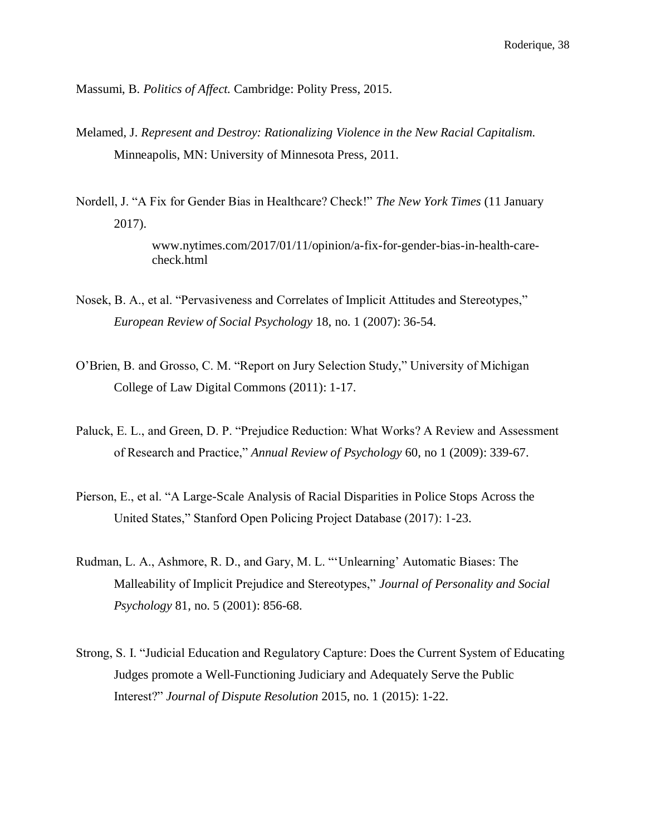Massumi, B. *Politics of Affect.* Cambridge: Polity Press, 2015.

- Melamed, J. *Represent and Destroy: Rationalizing Violence in the New Racial Capitalism.* Minneapolis, MN: University of Minnesota Press, 2011.
- Nordell, J. "A Fix for Gender Bias in Healthcare? Check!" *The New York Times* (11 January 2017).

www.nytimes.com/2017/01/11/opinion/a-fix-for-gender-bias-in-health-carecheck.html

- Nosek, B. A., et al. "Pervasiveness and Correlates of Implicit Attitudes and Stereotypes," *European Review of Social Psychology* 18, no. 1 (2007): 36-54.
- O'Brien, B. and Grosso, C. M. "Report on Jury Selection Study," University of Michigan College of Law Digital Commons (2011): 1-17.
- Paluck, E. L., and Green, D. P. "Prejudice Reduction: What Works? A Review and Assessment of Research and Practice," *Annual Review of Psychology* 60, no 1 (2009): 339-67.
- Pierson, E., et al. "A Large-Scale Analysis of Racial Disparities in Police Stops Across the United States," Stanford Open Policing Project Database (2017): 1-23.
- Rudman, L. A., Ashmore, R. D., and Gary, M. L. "'Unlearning' Automatic Biases: The Malleability of Implicit Prejudice and Stereotypes," *Journal of Personality and Social Psychology* 81, no. 5 (2001): 856-68.
- Strong, S. I. "Judicial Education and Regulatory Capture: Does the Current System of Educating Judges promote a Well-Functioning Judiciary and Adequately Serve the Public Interest?" *Journal of Dispute Resolution* 2015, no. 1 (2015): 1-22.